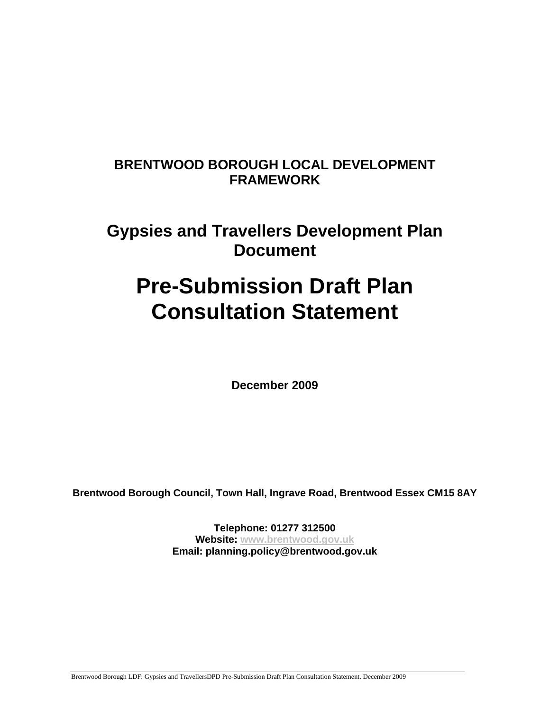## **BRENTWOOD BOROUGH LOCAL DEVELOPMENT FRAMEWORK**

# **Gypsies and Travellers Development Plan Document**

# **Pre-Submission Draft Plan Consultation Statement**

**December 2009** 

**Brentwood Borough Council, Town Hall, Ingrave Road, Brentwood Essex CM15 8AY** 

**Telephone: 01277 312500 Website: www.brentwood.gov.uk Email: planning.policy@brentwood.gov.uk** 

Brentwood Borough LDF: Gypsies and TravellersDPD Pre-Submission Draft Plan Consultation Statement. December 2009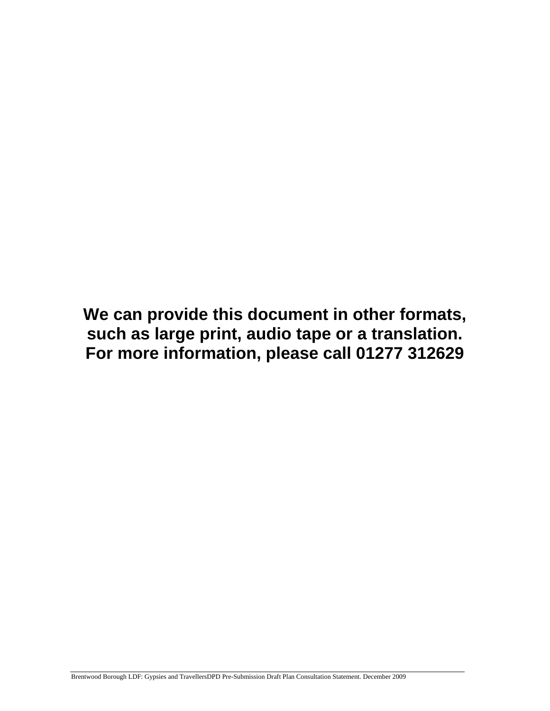**We can provide this document in other formats, such as large print, audio tape or a translation. For more information, please call 01277 312629**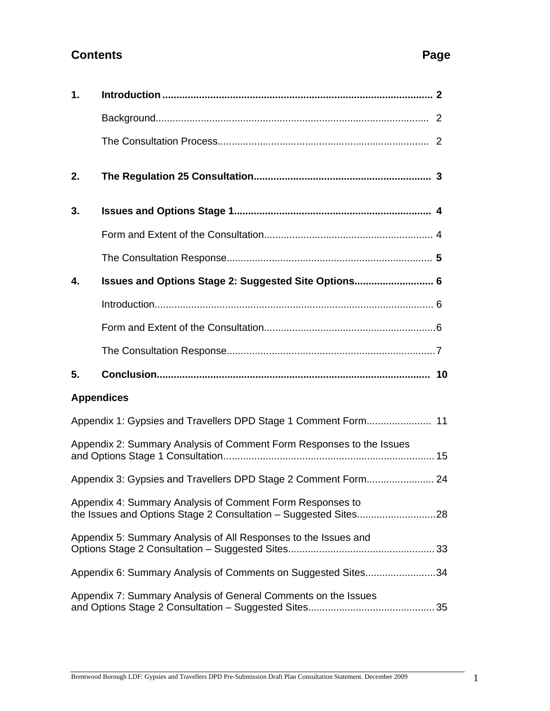### **Contents** Page **Page 2014**

| $\mathbf 1$ . |                                                                      |  |
|---------------|----------------------------------------------------------------------|--|
|               |                                                                      |  |
|               |                                                                      |  |
| 2.            |                                                                      |  |
| 3.            |                                                                      |  |
|               |                                                                      |  |
|               |                                                                      |  |
| 4.            | Issues and Options Stage 2: Suggested Site Options 6                 |  |
|               |                                                                      |  |
|               |                                                                      |  |
|               |                                                                      |  |
| 5.            |                                                                      |  |
|               | <b>Appendices</b>                                                    |  |
|               |                                                                      |  |
|               | Appendix 2: Summary Analysis of Comment Form Responses to the Issues |  |
|               | Appendix 3: Gypsies and Travellers DPD Stage 2 Comment Form 24       |  |
|               | Appendix 4: Summary Analysis of Comment Form Responses to            |  |
|               | Appendix 5: Summary Analysis of All Responses to the Issues and      |  |
|               | Appendix 6: Summary Analysis of Comments on Suggested Sites34        |  |
|               | Appendix 7: Summary Analysis of General Comments on the Issues       |  |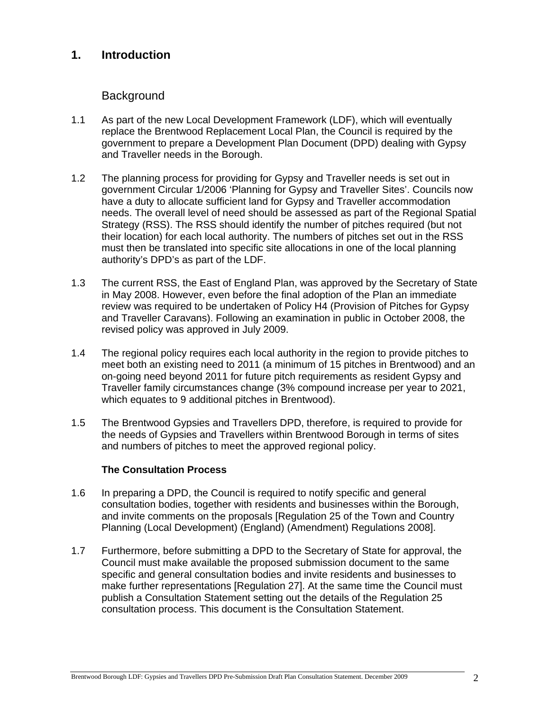### **1. Introduction**

### **Background**

- 1.1 As part of the new Local Development Framework (LDF), which will eventually replace the Brentwood Replacement Local Plan, the Council is required by the government to prepare a Development Plan Document (DPD) dealing with Gypsy and Traveller needs in the Borough.
- 1.2 The planning process for providing for Gypsy and Traveller needs is set out in government Circular 1/2006 'Planning for Gypsy and Traveller Sites'. Councils now have a duty to allocate sufficient land for Gypsy and Traveller accommodation needs. The overall level of need should be assessed as part of the Regional Spatial Strategy (RSS). The RSS should identify the number of pitches required (but not their location) for each local authority. The numbers of pitches set out in the RSS must then be translated into specific site allocations in one of the local planning authority's DPD's as part of the LDF.
- 1.3 The current RSS, the East of England Plan, was approved by the Secretary of State in May 2008. However, even before the final adoption of the Plan an immediate review was required to be undertaken of Policy H4 (Provision of Pitches for Gypsy and Traveller Caravans). Following an examination in public in October 2008, the revised policy was approved in July 2009.
- 1.4 The regional policy requires each local authority in the region to provide pitches to meet both an existing need to 2011 (a minimum of 15 pitches in Brentwood) and an on-going need beyond 2011 for future pitch requirements as resident Gypsy and Traveller family circumstances change (3% compound increase per year to 2021, which equates to 9 additional pitches in Brentwood).
- 1.5 The Brentwood Gypsies and Travellers DPD, therefore, is required to provide for the needs of Gypsies and Travellers within Brentwood Borough in terms of sites and numbers of pitches to meet the approved regional policy.

#### **The Consultation Process**

- 1.6 In preparing a DPD, the Council is required to notify specific and general consultation bodies, together with residents and businesses within the Borough, and invite comments on the proposals [Regulation 25 of the Town and Country Planning (Local Development) (England) (Amendment) Regulations 2008].
- 1.7 Furthermore, before submitting a DPD to the Secretary of State for approval, the Council must make available the proposed submission document to the same specific and general consultation bodies and invite residents and businesses to make further representations [Regulation 27]. At the same time the Council must publish a Consultation Statement setting out the details of the Regulation 25 consultation process. This document is the Consultation Statement.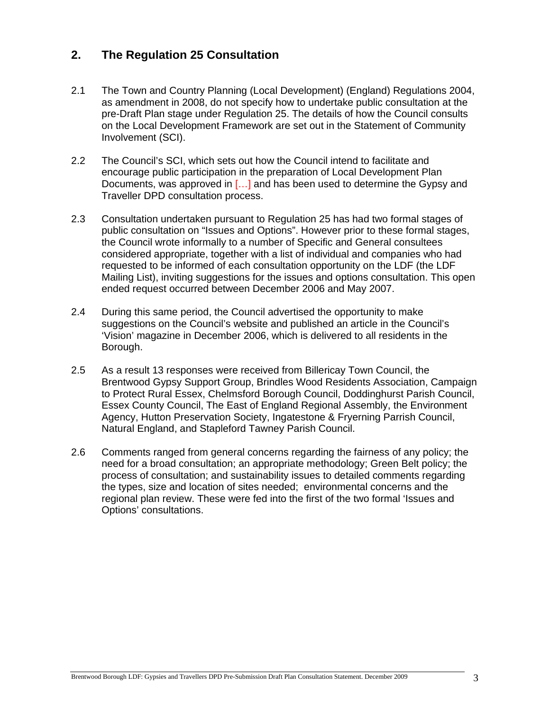### **2. The Regulation 25 Consultation**

- 2.1 The Town and Country Planning (Local Development) (England) Regulations 2004, as amendment in 2008, do not specify how to undertake public consultation at the pre-Draft Plan stage under Regulation 25. The details of how the Council consults on the Local Development Framework are set out in the Statement of Community Involvement (SCI).
- 2.2 The Council's SCI, which sets out how the Council intend to facilitate and encourage public participation in the preparation of Local Development Plan Documents, was approved in […] and has been used to determine the Gypsy and Traveller DPD consultation process.
- 2.3 Consultation undertaken pursuant to Regulation 25 has had two formal stages of public consultation on "Issues and Options". However prior to these formal stages, the Council wrote informally to a number of Specific and General consultees considered appropriate, together with a list of individual and companies who had requested to be informed of each consultation opportunity on the LDF (the LDF Mailing List), inviting suggestions for the issues and options consultation. This open ended request occurred between December 2006 and May 2007.
- 2.4 During this same period, the Council advertised the opportunity to make suggestions on the Council's website and published an article in the Council's 'Vision' magazine in December 2006, which is delivered to all residents in the Borough.
- 2.5 As a result 13 responses were received from Billericay Town Council, the Brentwood Gypsy Support Group, Brindles Wood Residents Association, Campaign to Protect Rural Essex, Chelmsford Borough Council, Doddinghurst Parish Council, Essex County Council, The East of England Regional Assembly, the Environment Agency, Hutton Preservation Society, Ingatestone & Fryerning Parrish Council, Natural England, and Stapleford Tawney Parish Council.
- 2.6 Comments ranged from general concerns regarding the fairness of any policy; the need for a broad consultation; an appropriate methodology; Green Belt policy; the process of consultation; and sustainability issues to detailed comments regarding the types, size and location of sites needed; environmental concerns and the regional plan review. These were fed into the first of the two formal 'Issues and Options' consultations.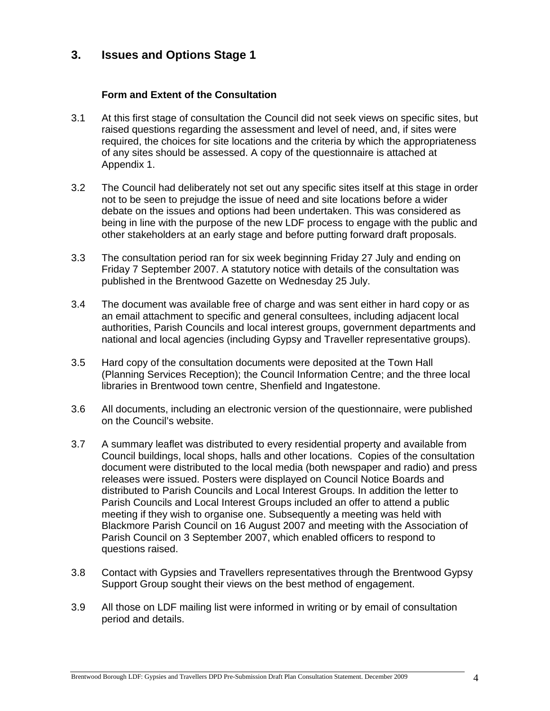### **3. Issues and Options Stage 1**

#### **Form and Extent of the Consultation**

- 3.1 At this first stage of consultation the Council did not seek views on specific sites, but raised questions regarding the assessment and level of need, and, if sites were required, the choices for site locations and the criteria by which the appropriateness of any sites should be assessed. A copy of the questionnaire is attached at Appendix 1.
- 3.2 The Council had deliberately not set out any specific sites itself at this stage in order not to be seen to prejudge the issue of need and site locations before a wider debate on the issues and options had been undertaken. This was considered as being in line with the purpose of the new LDF process to engage with the public and other stakeholders at an early stage and before putting forward draft proposals.
- 3.3 The consultation period ran for six week beginning Friday 27 July and ending on Friday 7 September 2007. A statutory notice with details of the consultation was published in the Brentwood Gazette on Wednesday 25 July.
- 3.4 The document was available free of charge and was sent either in hard copy or as an email attachment to specific and general consultees, including adjacent local authorities, Parish Councils and local interest groups, government departments and national and local agencies (including Gypsy and Traveller representative groups).
- 3.5 Hard copy of the consultation documents were deposited at the Town Hall (Planning Services Reception); the Council Information Centre; and the three local libraries in Brentwood town centre, Shenfield and Ingatestone.
- 3.6 All documents, including an electronic version of the questionnaire, were published on the Council's website.
- 3.7 A summary leaflet was distributed to every residential property and available from Council buildings, local shops, halls and other locations. Copies of the consultation document were distributed to the local media (both newspaper and radio) and press releases were issued. Posters were displayed on Council Notice Boards and distributed to Parish Councils and Local Interest Groups. In addition the letter to Parish Councils and Local Interest Groups included an offer to attend a public meeting if they wish to organise one. Subsequently a meeting was held with Blackmore Parish Council on 16 August 2007 and meeting with the Association of Parish Council on 3 September 2007, which enabled officers to respond to questions raised.
- 3.8 Contact with Gypsies and Travellers representatives through the Brentwood Gypsy Support Group sought their views on the best method of engagement.
- 3.9 All those on LDF mailing list were informed in writing or by email of consultation period and details.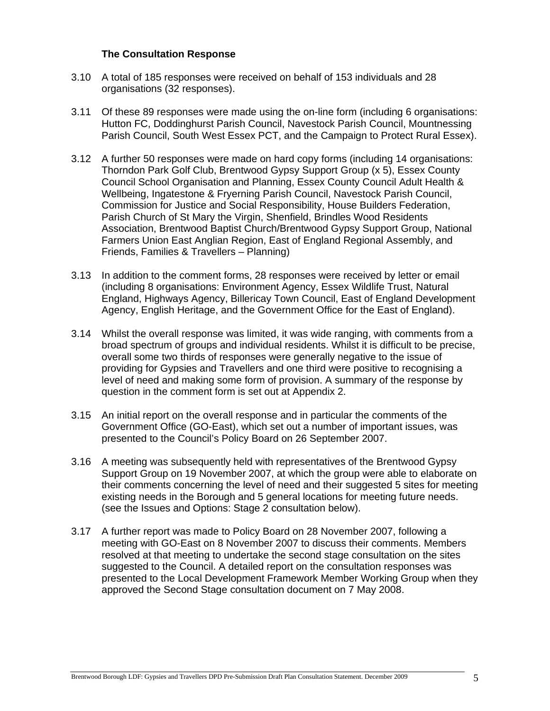#### **The Consultation Response**

- 3.10 A total of 185 responses were received on behalf of 153 individuals and 28 organisations (32 responses).
- 3.11 Of these 89 responses were made using the on-line form (including 6 organisations: Hutton FC, Doddinghurst Parish Council, Navestock Parish Council, Mountnessing Parish Council, South West Essex PCT, and the Campaign to Protect Rural Essex).
- 3.12 A further 50 responses were made on hard copy forms (including 14 organisations: Thorndon Park Golf Club, Brentwood Gypsy Support Group (x 5), Essex County Council School Organisation and Planning, Essex County Council Adult Health & Wellbeing, Ingatestone & Fryerning Parish Council, Navestock Parish Council, Commission for Justice and Social Responsibility, House Builders Federation, Parish Church of St Mary the Virgin, Shenfield, Brindles Wood Residents Association, Brentwood Baptist Church/Brentwood Gypsy Support Group, National Farmers Union East Anglian Region, East of England Regional Assembly, and Friends, Families & Travellers – Planning)
- 3.13 In addition to the comment forms, 28 responses were received by letter or email (including 8 organisations: Environment Agency, Essex Wildlife Trust, Natural England, Highways Agency, Billericay Town Council, East of England Development Agency, English Heritage, and the Government Office for the East of England).
- 3.14 Whilst the overall response was limited, it was wide ranging, with comments from a broad spectrum of groups and individual residents. Whilst it is difficult to be precise, overall some two thirds of responses were generally negative to the issue of providing for Gypsies and Travellers and one third were positive to recognising a level of need and making some form of provision. A summary of the response by question in the comment form is set out at Appendix 2.
- 3.15 An initial report on the overall response and in particular the comments of the Government Office (GO-East), which set out a number of important issues, was presented to the Council's Policy Board on 26 September 2007.
- 3.16 A meeting was subsequently held with representatives of the Brentwood Gypsy Support Group on 19 November 2007, at which the group were able to elaborate on their comments concerning the level of need and their suggested 5 sites for meeting existing needs in the Borough and 5 general locations for meeting future needs. (see the Issues and Options: Stage 2 consultation below).
- 3.17 A further report was made to Policy Board on 28 November 2007, following a meeting with GO-East on 8 November 2007 to discuss their comments. Members resolved at that meeting to undertake the second stage consultation on the sites suggested to the Council. A detailed report on the consultation responses was presented to the Local Development Framework Member Working Group when they approved the Second Stage consultation document on 7 May 2008.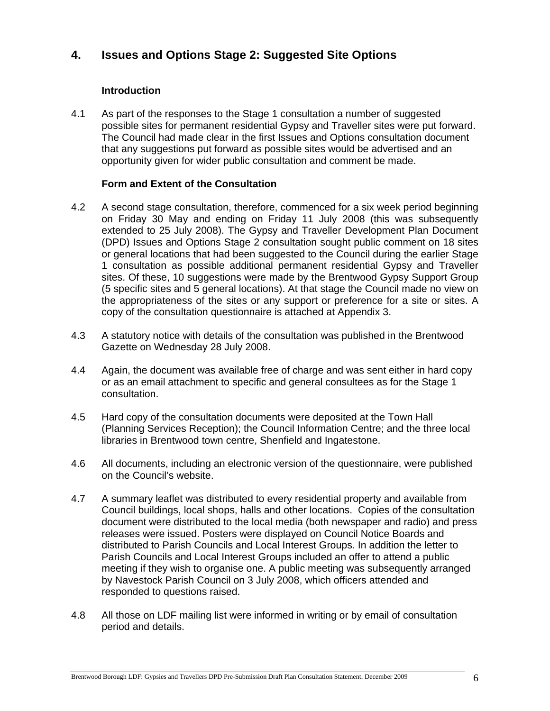### **4. Issues and Options Stage 2: Suggested Site Options**

#### **Introduction**

4.1 As part of the responses to the Stage 1 consultation a number of suggested possible sites for permanent residential Gypsy and Traveller sites were put forward. The Council had made clear in the first Issues and Options consultation document that any suggestions put forward as possible sites would be advertised and an opportunity given for wider public consultation and comment be made.

#### **Form and Extent of the Consultation**

- 4.2 A second stage consultation, therefore, commenced for a six week period beginning on Friday 30 May and ending on Friday 11 July 2008 (this was subsequently extended to 25 July 2008). The Gypsy and Traveller Development Plan Document (DPD) Issues and Options Stage 2 consultation sought public comment on 18 sites or general locations that had been suggested to the Council during the earlier Stage 1 consultation as possible additional permanent residential Gypsy and Traveller sites. Of these, 10 suggestions were made by the Brentwood Gypsy Support Group (5 specific sites and 5 general locations). At that stage the Council made no view on the appropriateness of the sites or any support or preference for a site or sites. A copy of the consultation questionnaire is attached at Appendix 3.
- 4.3 A statutory notice with details of the consultation was published in the Brentwood Gazette on Wednesday 28 July 2008.
- 4.4 Again, the document was available free of charge and was sent either in hard copy or as an email attachment to specific and general consultees as for the Stage 1 consultation.
- 4.5 Hard copy of the consultation documents were deposited at the Town Hall (Planning Services Reception); the Council Information Centre; and the three local libraries in Brentwood town centre, Shenfield and Ingatestone.
- 4.6 All documents, including an electronic version of the questionnaire, were published on the Council's website.
- 4.7 A summary leaflet was distributed to every residential property and available from Council buildings, local shops, halls and other locations. Copies of the consultation document were distributed to the local media (both newspaper and radio) and press releases were issued. Posters were displayed on Council Notice Boards and distributed to Parish Councils and Local Interest Groups. In addition the letter to Parish Councils and Local Interest Groups included an offer to attend a public meeting if they wish to organise one. A public meeting was subsequently arranged by Navestock Parish Council on 3 July 2008, which officers attended and responded to questions raised.
- 4.8 All those on LDF mailing list were informed in writing or by email of consultation period and details.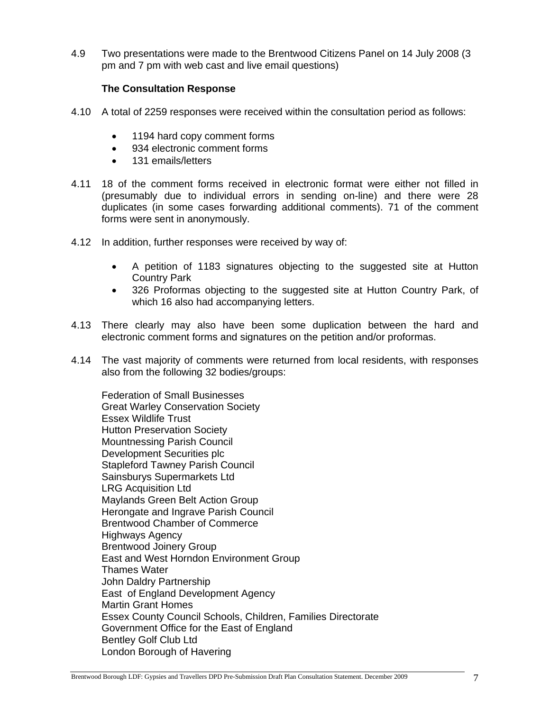4.9 Two presentations were made to the Brentwood Citizens Panel on 14 July 2008 (3 pm and 7 pm with web cast and live email questions)

#### **The Consultation Response**

- 4.10 A total of 2259 responses were received within the consultation period as follows:
	- 1194 hard copy comment forms
	- 934 electronic comment forms
	- 131 emails/letters
- 4.11 18 of the comment forms received in electronic format were either not filled in (presumably due to individual errors in sending on-line) and there were 28 duplicates (in some cases forwarding additional comments). 71 of the comment forms were sent in anonymously.
- 4.12 In addition, further responses were received by way of:
	- A petition of 1183 signatures objecting to the suggested site at Hutton Country Park
	- 326 Proformas objecting to the suggested site at Hutton Country Park, of which 16 also had accompanying letters.
- 4.13 There clearly may also have been some duplication between the hard and electronic comment forms and signatures on the petition and/or proformas.
- 4.14 The vast majority of comments were returned from local residents, with responses also from the following 32 bodies/groups:

Federation of Small Businesses Great Warley Conservation Society Essex Wildlife Trust Hutton Preservation Society Mountnessing Parish Council Development Securities plc Stapleford Tawney Parish Council Sainsburys Supermarkets Ltd LRG Acquisition Ltd Maylands Green Belt Action Group Herongate and Ingrave Parish Council Brentwood Chamber of Commerce Highways Agency Brentwood Joinery Group East and West Horndon Environment Group Thames Water John Daldry Partnership East of England Development Agency Martin Grant Homes Essex County Council Schools, Children, Families Directorate Government Office for the East of England Bentley Golf Club Ltd London Borough of Havering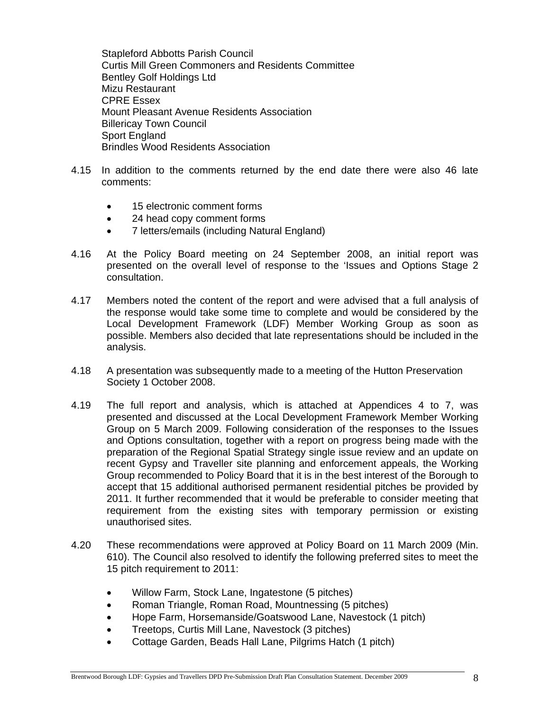Stapleford Abbotts Parish Council Curtis Mill Green Commoners and Residents Committee Bentley Golf Holdings Ltd Mizu Restaurant CPRE Essex Mount Pleasant Avenue Residents Association Billericay Town Council Sport England Brindles Wood Residents Association

- 4.15 In addition to the comments returned by the end date there were also 46 late comments:
	- 15 electronic comment forms
	- 24 head copy comment forms
	- 7 letters/emails (including Natural England)
- 4.16 At the Policy Board meeting on 24 September 2008, an initial report was presented on the overall level of response to the 'Issues and Options Stage 2 consultation.
- 4.17 Members noted the content of the report and were advised that a full analysis of the response would take some time to complete and would be considered by the Local Development Framework (LDF) Member Working Group as soon as possible. Members also decided that late representations should be included in the analysis.
- 4.18 A presentation was subsequently made to a meeting of the Hutton Preservation Society 1 October 2008.
- 4.19 The full report and analysis, which is attached at Appendices 4 to 7, was presented and discussed at the Local Development Framework Member Working Group on 5 March 2009. Following consideration of the responses to the Issues and Options consultation, together with a report on progress being made with the preparation of the Regional Spatial Strategy single issue review and an update on recent Gypsy and Traveller site planning and enforcement appeals, the Working Group recommended to Policy Board that it is in the best interest of the Borough to accept that 15 additional authorised permanent residential pitches be provided by 2011. It further recommended that it would be preferable to consider meeting that requirement from the existing sites with temporary permission or existing unauthorised sites.
- 4.20 These recommendations were approved at Policy Board on 11 March 2009 (Min. 610). The Council also resolved to identify the following preferred sites to meet the 15 pitch requirement to 2011:
	- Willow Farm, Stock Lane, Ingatestone (5 pitches)
	- Roman Triangle, Roman Road, Mountnessing (5 pitches)
	- Hope Farm, Horsemanside/Goatswood Lane, Navestock (1 pitch)
	- Treetops, Curtis Mill Lane, Navestock (3 pitches)
	- Cottage Garden, Beads Hall Lane, Pilgrims Hatch (1 pitch)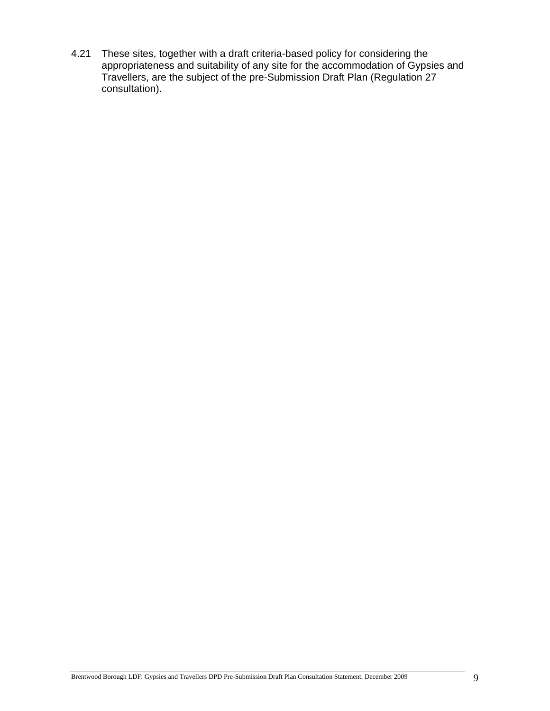4.21 These sites, together with a draft criteria-based policy for considering the appropriateness and suitability of any site for the accommodation of Gypsies and Travellers, are the subject of the pre-Submission Draft Plan (Regulation 27 consultation).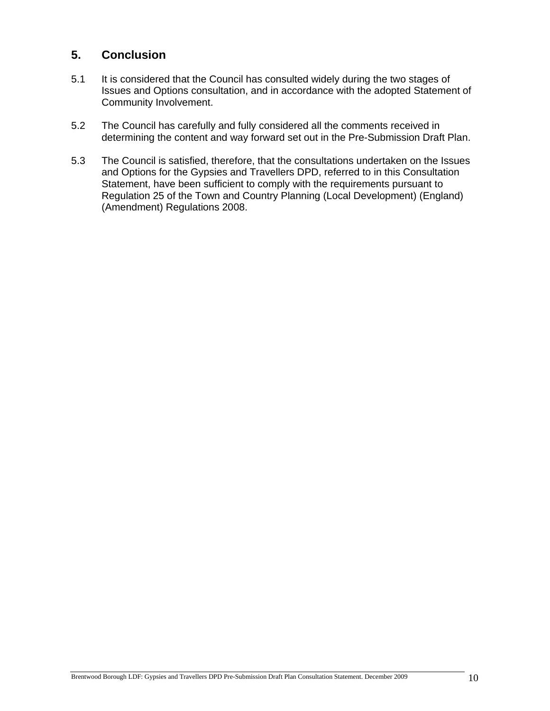### **5. Conclusion**

- 5.1 It is considered that the Council has consulted widely during the two stages of Issues and Options consultation, and in accordance with the adopted Statement of Community Involvement.
- 5.2 The Council has carefully and fully considered all the comments received in determining the content and way forward set out in the Pre-Submission Draft Plan.
- 5.3 The Council is satisfied, therefore, that the consultations undertaken on the Issues and Options for the Gypsies and Travellers DPD, referred to in this Consultation Statement, have been sufficient to comply with the requirements pursuant to Regulation 25 of the Town and Country Planning (Local Development) (England) (Amendment) Regulations 2008.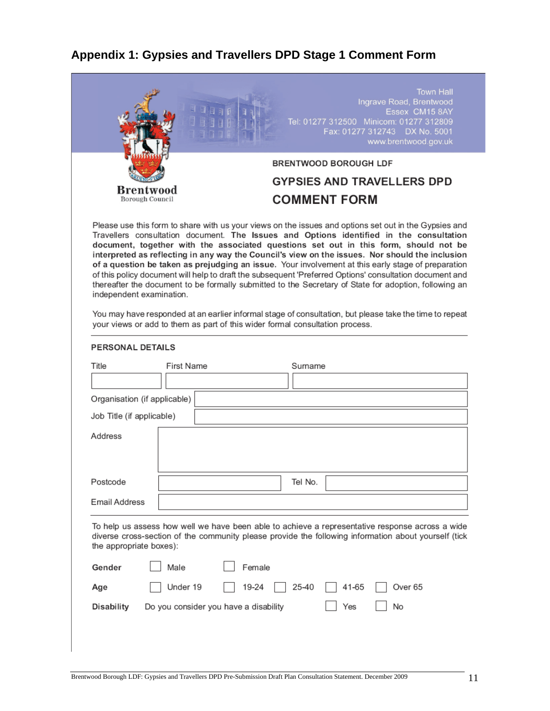# **Appendix 1: Gypsies and Travellers DPD Stage 1 Comment Form**

|                              |                                                                              | 日日日 |        |         | Tel: 01277 312500 Minicom: 01277 312809<br>Fax: 01277 312743 DX No. 5001 | <b>Town Hall</b><br>Ingrave Road, Brentwood<br>Essex CM15 8AY<br>www.brentwood.gov.uk                                                                                                                                                                                                                                                                                                                                                                                                                                                                                                                                                                                                                                                                                                                                            |
|------------------------------|------------------------------------------------------------------------------|-----|--------|---------|--------------------------------------------------------------------------|----------------------------------------------------------------------------------------------------------------------------------------------------------------------------------------------------------------------------------------------------------------------------------------------------------------------------------------------------------------------------------------------------------------------------------------------------------------------------------------------------------------------------------------------------------------------------------------------------------------------------------------------------------------------------------------------------------------------------------------------------------------------------------------------------------------------------------|
|                              |                                                                              |     |        |         | BRENTWOOD BOROUGH LDF                                                    |                                                                                                                                                                                                                                                                                                                                                                                                                                                                                                                                                                                                                                                                                                                                                                                                                                  |
|                              |                                                                              |     |        |         | <b>GYPSIES AND TRAVELLERS DPD</b>                                        |                                                                                                                                                                                                                                                                                                                                                                                                                                                                                                                                                                                                                                                                                                                                                                                                                                  |
|                              | Brentwood<br>Borough Council                                                 |     |        |         | <b>COMMENT FORM</b>                                                      |                                                                                                                                                                                                                                                                                                                                                                                                                                                                                                                                                                                                                                                                                                                                                                                                                                  |
| independent examination.     |                                                                              |     |        |         |                                                                          | Please use this form to share with us your views on the issues and options set out in the Gypsies and<br>Travellers consultation document. The Issues and Options identified in the consultation<br>document, together with the associated questions set out in this form, should not be<br>interpreted as reflecting in any way the Council's view on the issues. Nor should the inclusion<br>of a question be taken as prejudging an issue. Your involvement at this early stage of preparation<br>of this policy document will help to draft the subsequent 'Preferred Options' consultation document and<br>thereafter the document to be formally submitted to the Secretary of State for adoption, following an<br>You may have responded at an earlier informal stage of consultation, but please take the time to repeat |
|                              | your views or add to them as part of this wider formal consultation process. |     |        |         |                                                                          |                                                                                                                                                                                                                                                                                                                                                                                                                                                                                                                                                                                                                                                                                                                                                                                                                                  |
| PERSONAL DETAILS             |                                                                              |     |        |         |                                                                          |                                                                                                                                                                                                                                                                                                                                                                                                                                                                                                                                                                                                                                                                                                                                                                                                                                  |
|                              | First Name                                                                   |     |        | Surname |                                                                          |                                                                                                                                                                                                                                                                                                                                                                                                                                                                                                                                                                                                                                                                                                                                                                                                                                  |
| Title                        |                                                                              |     |        |         |                                                                          |                                                                                                                                                                                                                                                                                                                                                                                                                                                                                                                                                                                                                                                                                                                                                                                                                                  |
| Organisation (if applicable) |                                                                              |     |        |         |                                                                          |                                                                                                                                                                                                                                                                                                                                                                                                                                                                                                                                                                                                                                                                                                                                                                                                                                  |
| Job Title (if applicable)    |                                                                              |     |        |         |                                                                          |                                                                                                                                                                                                                                                                                                                                                                                                                                                                                                                                                                                                                                                                                                                                                                                                                                  |
| Address                      |                                                                              |     |        |         |                                                                          |                                                                                                                                                                                                                                                                                                                                                                                                                                                                                                                                                                                                                                                                                                                                                                                                                                  |
|                              |                                                                              |     |        | Tel No. |                                                                          |                                                                                                                                                                                                                                                                                                                                                                                                                                                                                                                                                                                                                                                                                                                                                                                                                                  |
| Postcode<br>Email Address    |                                                                              |     |        |         |                                                                          |                                                                                                                                                                                                                                                                                                                                                                                                                                                                                                                                                                                                                                                                                                                                                                                                                                  |
| the appropriate boxes):      |                                                                              |     |        |         |                                                                          | To help us assess how well we have been able to achieve a representative response across a wide<br>diverse cross-section of the community please provide the following information about yourself (tick                                                                                                                                                                                                                                                                                                                                                                                                                                                                                                                                                                                                                          |
| Gender                       | Male                                                                         |     | Female |         |                                                                          |                                                                                                                                                                                                                                                                                                                                                                                                                                                                                                                                                                                                                                                                                                                                                                                                                                  |
| Age                          | Under 19                                                                     |     | 19-24  | 25-40   | 41-65                                                                    | Over <sub>65</sub>                                                                                                                                                                                                                                                                                                                                                                                                                                                                                                                                                                                                                                                                                                                                                                                                               |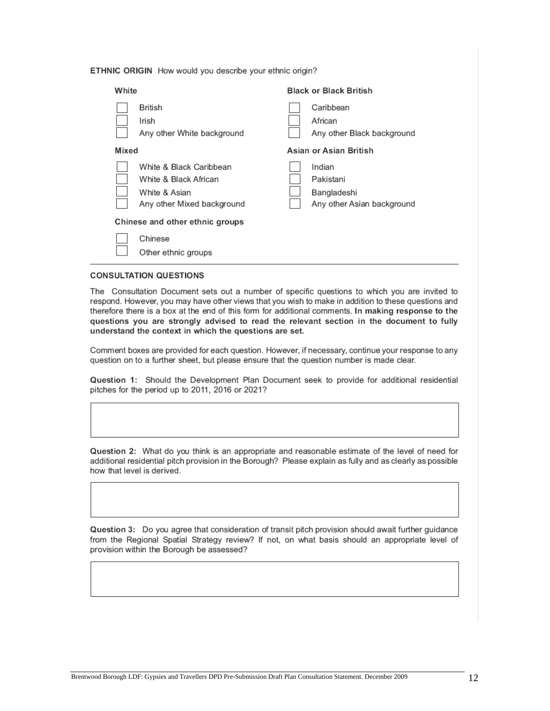ETHNIC ORIGIN How would you describe your ethnic origin?

| White                                                                                           | <b>Black or Black British</b>                                    |
|-------------------------------------------------------------------------------------------------|------------------------------------------------------------------|
| British<br>Irish<br>Any other White background                                                  | Caribbean<br>African<br>Any other Black background               |
| Mixed                                                                                           | Asian or Asian British                                           |
| White & Black Caribbean<br>White & Black African<br>White & Asian<br>Any other Mixed background | Indian<br>Pakistani<br>Bangladeshi<br>Any other Asian background |
| Chinese and other ethnic groups                                                                 |                                                                  |
| Chinese<br>Other ethnic groups                                                                  |                                                                  |

#### **CONSULTATION QUESTIONS**

The Consultation Document sets out a number of specific questions to which you are invited to respond. However, you may have other views that you wish to make in addition to these questions and therefore there is a box at the end of this form for additional comments. In making response to the questions you are strongly advised to read the relevant section in the document to fully understand the context in which the questions are set.

Comment boxes are provided for each question. However, if necessary, continue your response to any question on to a further sheet, but please ensure that the question number is made clear.

Question 1: Should the Development Plan Document seek to provide for additional residential pitches for the period up to 2011, 2016 or 2021?

Question 2: What do you think is an appropriate and reasonable estimate of the level of need for additional residential pitch provision in the Borough? Please explain as fully and as clearly as possible how that level is derived.

Question 3: Do you agree that consideration of transit pitch provision should await further guidance from the Regional Spatial Strategy review? If not, on what basis should an appropriate level of provision within the Borough be assessed?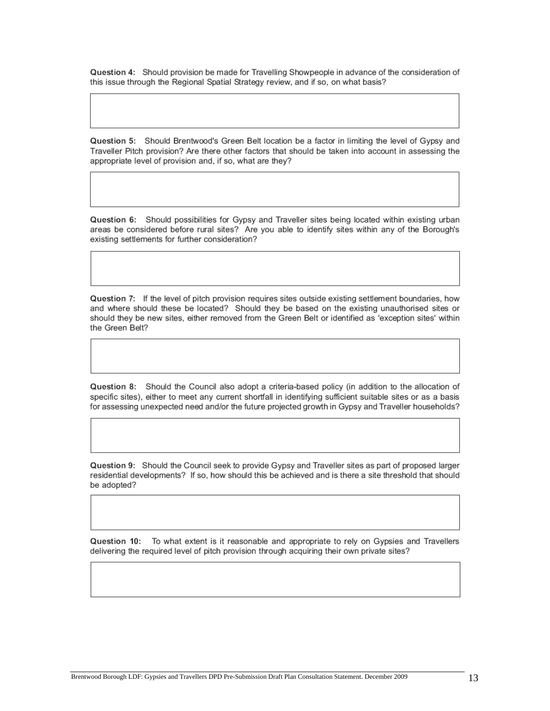Question 4: Should provision be made for Travelling Showpeople in advance of the consideration of this issue through the Regional Spatial Strategy review, and if so, on what basis?

Question 5: Should Brentwood's Green Belt location be a factor in limiting the level of Gypsy and Traveller Pitch provision? Are there other factors that should be taken into account in assessing the appropriate level of provision and, if so, what are they?

Question 6: Should possibilities for Gypsy and Traveller sites being located within existing urban areas be considered before rural sites? Are you able to identify sites within any of the Borough's existing settlements for further consideration?

Question 7: If the level of pitch provision requires sites outside existing settlement boundaries, how and where should these be located? Should they be based on the existing unauthorised sites or should they be new sites, either removed from the Green Belt or identified as 'exception sites' within the Green Belt?

Question 8: Should the Council also adopt a criteria-based policy (in addition to the allocation of specific sites), either to meet any current shortfall in identifying sufficient suitable sites or as a basis for assessing unexpected need and/or the future projected growth in Gypsy and Traveller households?

Question 9: Should the Council seek to provide Gypsy and Traveller sites as part of proposed larger residential developments? If so, how should this be achieved and is there a site threshold that should be adopted?

Question 10: To what extent is it reasonable and appropriate to rely on Gypsies and Travellers delivering the required level of pitch provision through acquiring their own private sites?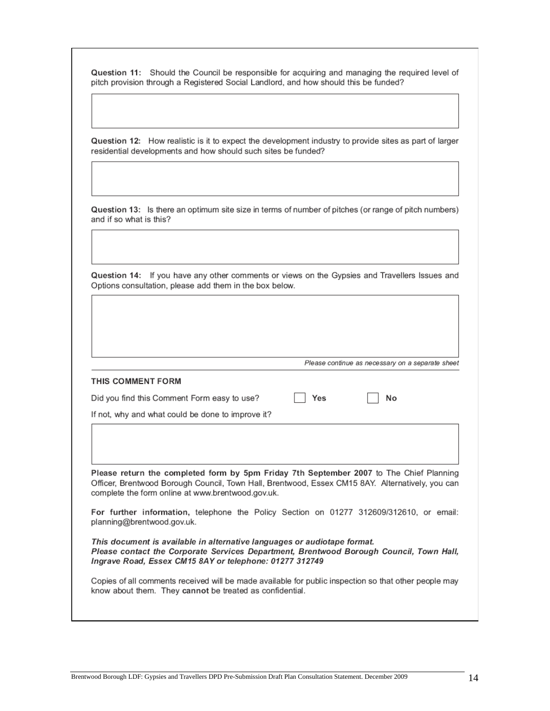| Question 11: Should the Council be responsible for acquiring and managing the required level of |
|-------------------------------------------------------------------------------------------------|
| pitch provision through a Registered Social Landlord, and how should this be funded?            |

Question 12: How realistic is it to expect the development industry to provide sites as part of larger residential developments and how should such sites be funded?

Question 13: Is there an optimum site size in terms of number of pitches (or range of pitch numbers) and if so what is this?

Question 14: If you have any other comments or views on the Gypsies and Travellers Issues and Options consultation, please add them in the box below.

| Please continue as necessary on a separate sheet |  |  |  |  |  |
|--------------------------------------------------|--|--|--|--|--|
|--------------------------------------------------|--|--|--|--|--|

| THIS COMMENT FORM                                                                                                                                                                                                                                |    |
|--------------------------------------------------------------------------------------------------------------------------------------------------------------------------------------------------------------------------------------------------|----|
| Yes<br>Did you find this Comment Form easy to use?                                                                                                                                                                                               | No |
| If not, why and what could be done to improve it?                                                                                                                                                                                                |    |
|                                                                                                                                                                                                                                                  |    |
| Please return the completed form by 5pm Friday 7th September 2007 to The Chief Planning<br>Officer, Brentwood Borough Council, Town Hall, Brentwood, Essex CM15 8AY. Alternatively, you can<br>complete the form online at www.brentwood.gov.uk. |    |
| For further information, telephone the Policy Section on 01277 312609/312610, or email:<br>planning@brentwood.gov.uk.                                                                                                                            |    |
| This document is available in alternative languages or audiotape format.                                                                                                                                                                         |    |

Please contact the Corporate Services Department, Brentwood Borough Council, Town Hall, Ingrave Road, Essex CM15 8AY or telephone: 01277 312749

Copies of all comments received will be made available for public inspection so that other people may know about them. They cannot be treated as confidential.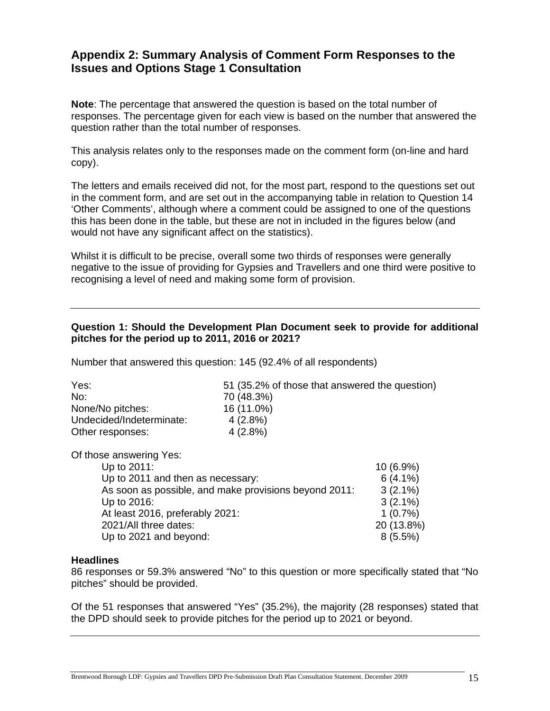### **Appendix 2: Summary Analysis of Comment Form Responses to the Issues and Options Stage 1 Consultation**

**Note**: The percentage that answered the question is based on the total number of responses. The percentage given for each view is based on the number that answered the question rather than the total number of responses.

This analysis relates only to the responses made on the comment form (on-line and hard copy).

The letters and emails received did not, for the most part, respond to the questions set out in the comment form, and are set out in the accompanying table in relation to Question 14 'Other Comments', although where a comment could be assigned to one of the questions this has been done in the table, but these are not in included in the figures below (and would not have any significant affect on the statistics).

Whilst it is difficult to be precise, overall some two thirds of responses were generally negative to the issue of providing for Gypsies and Travellers and one third were positive to recognising a level of need and making some form of provision.

#### **Question 1: Should the Development Plan Document seek to provide for additional pitches for the period up to 2011, 2016 or 2021?**

Number that answered this question: 145 (92.4% of all respondents)

| Yes:                     | 51 (35.2% of those that answered the question) |
|--------------------------|------------------------------------------------|
| No:                      | 70 (48.3%)                                     |
| None/No pitches:         | 16 (11.0%)                                     |
| Undecided/Indeterminate: | $4(2.8\%)$                                     |
| Other responses:         | $4(2.8\%)$                                     |
|                          |                                                |

Of those answering Yes:

| Up to 2011:                                           | $10(6.9\%)$ |
|-------------------------------------------------------|-------------|
| Up to 2011 and then as necessary:                     | $6(4.1\%)$  |
| As soon as possible, and make provisions beyond 2011: | $3(2.1\%)$  |
| Up to 2016:                                           | $3(2.1\%)$  |
| At least 2016, preferably 2021:                       | $1(0.7\%)$  |
| 2021/All three dates:                                 | 20 (13.8%)  |
| Up to 2021 and beyond:                                | $8(5.5\%)$  |
|                                                       |             |

#### **Headlines**

86 responses or 59.3% answered "No" to this question or more specifically stated that "No pitches" should be provided.

Of the 51 responses that answered "Yes" (35.2%), the majority (28 responses) stated that the DPD should seek to provide pitches for the period up to 2021 or beyond.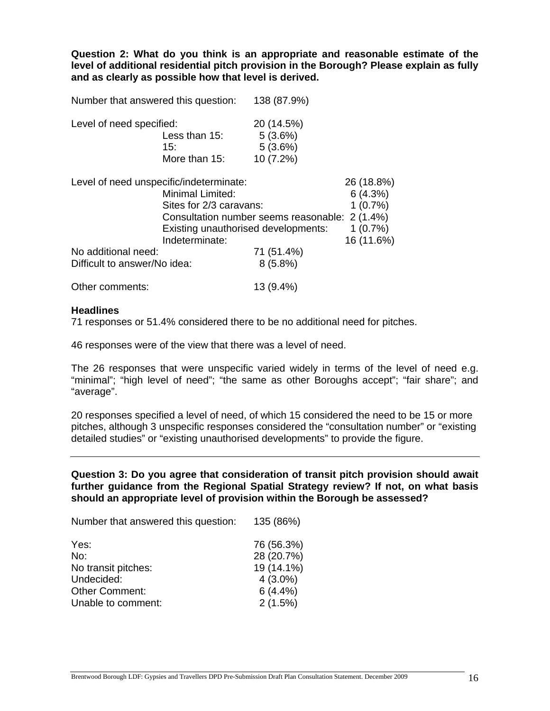**Question 2: What do you think is an appropriate and reasonable estimate of the level of additional residential pitch provision in the Borough? Please explain as fully and as clearly as possible how that level is derived.** 

Level of need specified: 20 (14.5%) Less than 15: 5 (3.6%) 15: 5 (3.6%) More than 15: 10 (7.2%)

Number that answered this question: 138 (87.9%)

| Level of need unspecific/indeterminate: |                                                | 26 (18.8%) |
|-----------------------------------------|------------------------------------------------|------------|
|                                         | Minimal Limited:                               | 6(4.3%)    |
|                                         | Sites for 2/3 caravans:                        | 1(0.7%)    |
|                                         | Consultation number seems reasonable: 2 (1.4%) |            |
|                                         | Existing unauthorised developments:            | $1(0.7\%)$ |
|                                         | Indeterminate:                                 | 16 (11.6%) |
| No additional need:                     | 71 (51.4%)                                     |            |
| Difficult to answer/No idea:            | $8(5.8\%)$                                     |            |
|                                         |                                                |            |

Other comments: 13 (9.4%)

#### **Headlines**

71 responses or 51.4% considered there to be no additional need for pitches.

46 responses were of the view that there was a level of need.

The 26 responses that were unspecific varied widely in terms of the level of need e.g. "minimal"; "high level of need"; "the same as other Boroughs accept"; "fair share"; and "average".

20 responses specified a level of need, of which 15 considered the need to be 15 or more pitches, although 3 unspecific responses considered the "consultation number" or "existing detailed studies" or "existing unauthorised developments" to provide the figure.

**Question 3: Do you agree that consideration of transit pitch provision should await further guidance from the Regional Spatial Strategy review? If not, on what basis should an appropriate level of provision within the Borough be assessed?** 

| Number that answered this question: | 135 (86%)  |
|-------------------------------------|------------|
| Yes:                                | 76 (56.3%) |
| No:                                 | 28 (20.7%) |
| No transit pitches:                 | 19 (14.1%) |
| Undecided:                          | $4(3.0\%)$ |
| <b>Other Comment:</b>               | 6(4.4%)    |
| Unable to comment:                  | 2(1.5%)    |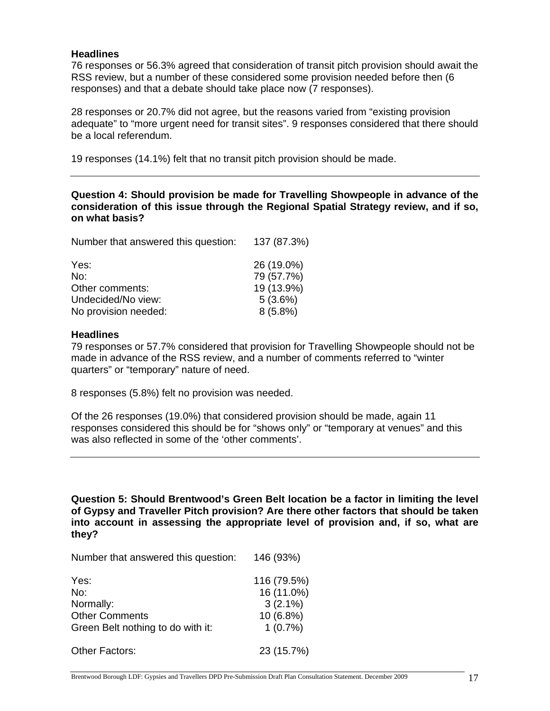#### **Headlines**

76 responses or 56.3% agreed that consideration of transit pitch provision should await the RSS review, but a number of these considered some provision needed before then (6 responses) and that a debate should take place now (7 responses).

28 responses or 20.7% did not agree, but the reasons varied from "existing provision adequate" to "more urgent need for transit sites". 9 responses considered that there should be a local referendum.

19 responses (14.1%) felt that no transit pitch provision should be made.

**Question 4: Should provision be made for Travelling Showpeople in advance of the consideration of this issue through the Regional Spatial Strategy review, and if so, on what basis?** 

| Number that answered this question: | 137 (87.3%) |
|-------------------------------------|-------------|
| Yes:                                | 26 (19.0%)  |
| No:                                 | 79 (57.7%)  |
| Other comments:                     | 19 (13.9%)  |
| Undecided/No view:                  | 5(3.6%)     |
| No provision needed:                | $8(5.8\%)$  |

#### **Headlines**

79 responses or 57.7% considered that provision for Travelling Showpeople should not be made in advance of the RSS review, and a number of comments referred to "winter quarters" or "temporary" nature of need.

8 responses (5.8%) felt no provision was needed.

Of the 26 responses (19.0%) that considered provision should be made, again 11 responses considered this should be for "shows only" or "temporary at venues" and this was also reflected in some of the 'other comments'.

**Question 5: Should Brentwood's Green Belt location be a factor in limiting the level of Gypsy and Traveller Pitch provision? Are there other factors that should be taken into account in assessing the appropriate level of provision and, if so, what are they?** 

Number that answered this question: 146 (93%)

| Yes:                              | 116 (79.5%)              |
|-----------------------------------|--------------------------|
| No:<br>Normally:                  | 16 (11.0%)<br>$3(2.1\%)$ |
| <b>Other Comments</b>             | 10 (6.8%)                |
| Green Belt nothing to do with it: | 1(0.7%)                  |
| <b>Other Factors:</b>             | 23 (15.7%)               |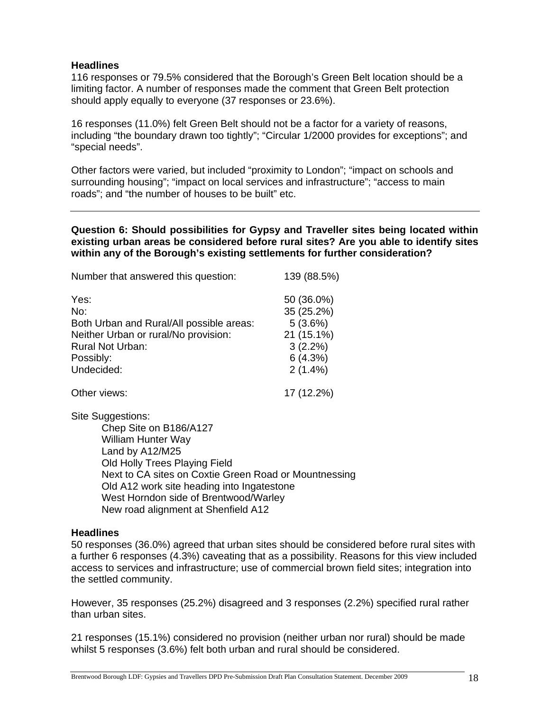#### **Headlines**

116 responses or 79.5% considered that the Borough's Green Belt location should be a limiting factor. A number of responses made the comment that Green Belt protection should apply equally to everyone (37 responses or 23.6%).

16 responses (11.0%) felt Green Belt should not be a factor for a variety of reasons, including "the boundary drawn too tightly"; "Circular 1/2000 provides for exceptions"; and "special needs".

Other factors were varied, but included "proximity to London"; "impact on schools and surrounding housing"; "impact on local services and infrastructure"; "access to main roads"; and "the number of houses to be built" etc.

**Question 6: Should possibilities for Gypsy and Traveller sites being located within existing urban areas be considered before rural sites? Are you able to identify sites within any of the Borough's existing settlements for further consideration?** 

| Number that answered this question:      | 139 (88.5%) |
|------------------------------------------|-------------|
| Yes:                                     | 50 (36.0%)  |
| No:                                      | 35 (25.2%)  |
| Both Urban and Rural/All possible areas: | 5(3.6%)     |
| Neither Urban or rural/No provision:     | 21 (15.1%)  |
| <b>Rural Not Urban:</b>                  | $3(2.2\%)$  |
| Possibly:                                | 6(4.3%)     |
| Undecided:                               | $2(1.4\%)$  |
| Other views:                             | 17 (12.2%)  |

Site Suggestions:

Chep Site on B186/A127 William Hunter Way Land by A12/M25 Old Holly Trees Playing Field Next to CA sites on Coxtie Green Road or Mountnessing Old A12 work site heading into Ingatestone West Horndon side of Brentwood/Warley New road alignment at Shenfield A12

#### **Headlines**

50 responses (36.0%) agreed that urban sites should be considered before rural sites with a further 6 responses (4.3%) caveating that as a possibility. Reasons for this view included access to services and infrastructure; use of commercial brown field sites; integration into the settled community.

However, 35 responses (25.2%) disagreed and 3 responses (2.2%) specified rural rather than urban sites.

21 responses (15.1%) considered no provision (neither urban nor rural) should be made whilst 5 responses (3.6%) felt both urban and rural should be considered.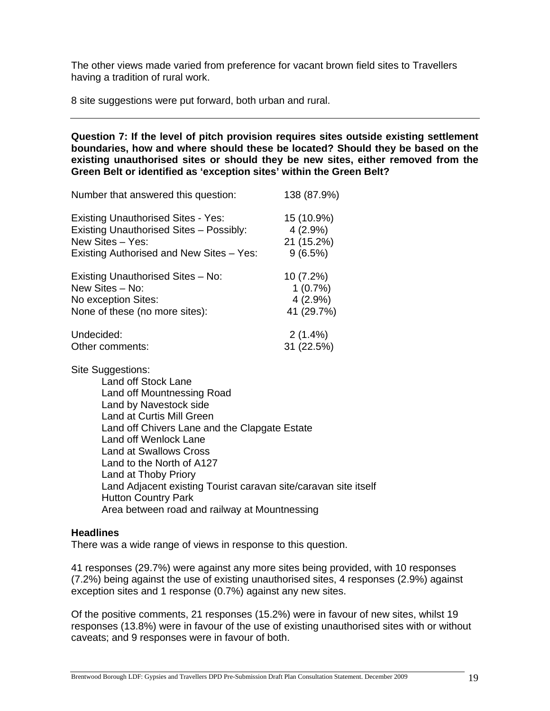The other views made varied from preference for vacant brown field sites to Travellers having a tradition of rural work.

8 site suggestions were put forward, both urban and rural.

**Question 7: If the level of pitch provision requires sites outside existing settlement boundaries, how and where should these be located? Should they be based on the existing unauthorised sites or should they be new sites, either removed from the Green Belt or identified as 'exception sites' within the Green Belt?** 

| Number that answered this question:            | 138 (87.9%) |
|------------------------------------------------|-------------|
| <b>Existing Unauthorised Sites - Yes:</b>      | 15 (10.9%)  |
| <b>Existing Unauthorised Sites - Possibly:</b> | $4(2.9\%)$  |
| New Sites - Yes:                               | 21 (15.2%)  |
| Existing Authorised and New Sites - Yes:       | 9(6.5%)     |
| Existing Unauthorised Sites - No:              | $10(7.2\%)$ |
| New Sites - No:                                | 1(0.7%)     |
| No exception Sites:                            | $4(2.9\%)$  |
| None of these (no more sites):                 | 41 (29.7%)  |
| Undecided:                                     | $2(1.4\%)$  |
| Other comments:                                | 31 (22.5%)  |

Site Suggestions:

Land off Stock Lane Land off Mountnessing Road Land by Navestock side Land at Curtis Mill Green Land off Chivers Lane and the Clapgate Estate Land off Wenlock Lane Land at Swallows Cross Land to the North of A127 Land at Thoby Priory Land Adjacent existing Tourist caravan site/caravan site itself Hutton Country Park Area between road and railway at Mountnessing

#### **Headlines**

There was a wide range of views in response to this question.

41 responses (29.7%) were against any more sites being provided, with 10 responses (7.2%) being against the use of existing unauthorised sites, 4 responses (2.9%) against exception sites and 1 response (0.7%) against any new sites.

Of the positive comments, 21 responses (15.2%) were in favour of new sites, whilst 19 responses (13.8%) were in favour of the use of existing unauthorised sites with or without caveats; and 9 responses were in favour of both.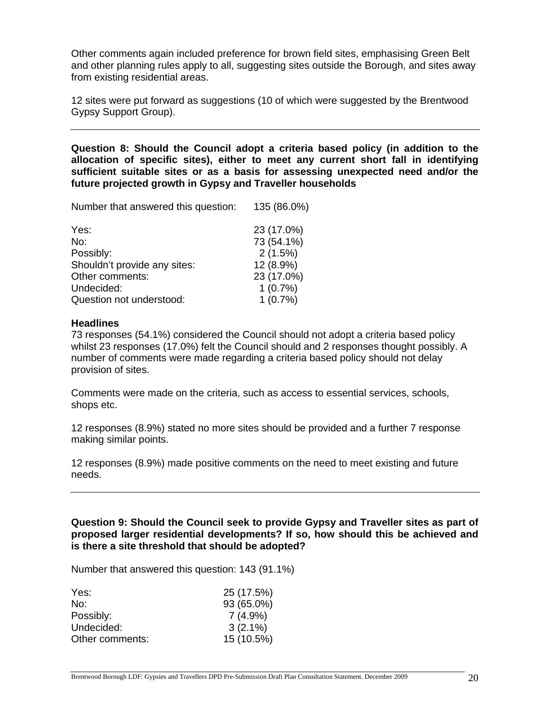Other comments again included preference for brown field sites, emphasising Green Belt and other planning rules apply to all, suggesting sites outside the Borough, and sites away from existing residential areas.

12 sites were put forward as suggestions (10 of which were suggested by the Brentwood Gypsy Support Group).

**Question 8: Should the Council adopt a criteria based policy (in addition to the allocation of specific sites), either to meet any current short fall in identifying sufficient suitable sites or as a basis for assessing unexpected need and/or the future projected growth in Gypsy and Traveller households** 

Number that answered this question: 135 (86.0%)

| Yes:                         | 23 (17.0%) |
|------------------------------|------------|
| No:                          | 73 (54.1%) |
| Possibly:                    | 2(1.5%)    |
| Shouldn't provide any sites: | 12 (8.9%)  |
| Other comments:              | 23 (17.0%) |
| Undecided:                   | 1(0.7%)    |
| Question not understood:     | 1(0.7%)    |

#### **Headlines**

73 responses (54.1%) considered the Council should not adopt a criteria based policy whilst 23 responses (17.0%) felt the Council should and 2 responses thought possibly. A number of comments were made regarding a criteria based policy should not delay provision of sites.

Comments were made on the criteria, such as access to essential services, schools, shops etc.

12 responses (8.9%) stated no more sites should be provided and a further 7 response making similar points.

12 responses (8.9%) made positive comments on the need to meet existing and future needs.

**Question 9: Should the Council seek to provide Gypsy and Traveller sites as part of proposed larger residential developments? If so, how should this be achieved and is there a site threshold that should be adopted?** 

Number that answered this question: 143 (91.1%)

| Yes:            | 25 (17.5%) |
|-----------------|------------|
| No:             | 93 (65.0%) |
| Possibly:       | $7(4.9\%)$ |
| Undecided:      | $3(2.1\%)$ |
| Other comments: | 15 (10.5%) |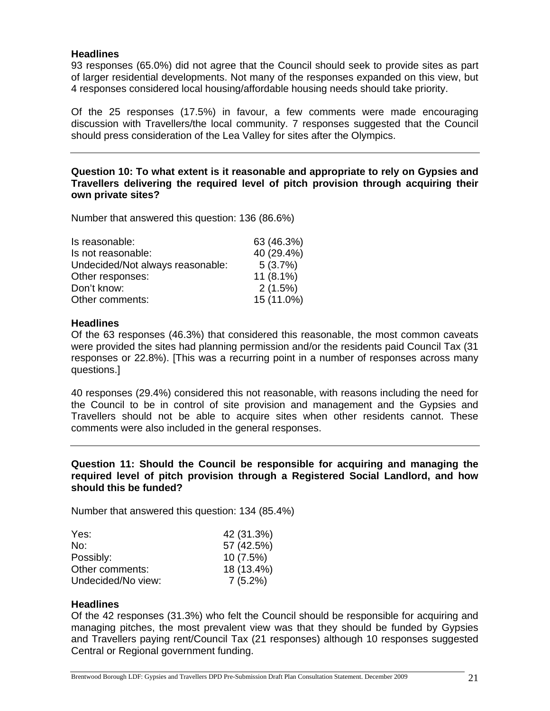#### **Headlines**

93 responses (65.0%) did not agree that the Council should seek to provide sites as part of larger residential developments. Not many of the responses expanded on this view, but 4 responses considered local housing/affordable housing needs should take priority.

Of the 25 responses (17.5%) in favour, a few comments were made encouraging discussion with Travellers/the local community. 7 responses suggested that the Council should press consideration of the Lea Valley for sites after the Olympics.

**Question 10: To what extent is it reasonable and appropriate to rely on Gypsies and Travellers delivering the required level of pitch provision through acquiring their own private sites?** 

Number that answered this question: 136 (86.6%)

| Is reasonable:                   | 63 (46.3%)  |
|----------------------------------|-------------|
| Is not reasonable:               | 40 (29.4%)  |
| Undecided/Not always reasonable: | 5(3.7%)     |
| Other responses:                 | $11(8.1\%)$ |
| Don't know:                      | 2(1.5%)     |
| Other comments:                  | 15 (11.0%)  |

#### **Headlines**

Of the 63 responses (46.3%) that considered this reasonable, the most common caveats were provided the sites had planning permission and/or the residents paid Council Tax (31 responses or 22.8%). [This was a recurring point in a number of responses across many questions.]

40 responses (29.4%) considered this not reasonable, with reasons including the need for the Council to be in control of site provision and management and the Gypsies and Travellers should not be able to acquire sites when other residents cannot. These comments were also included in the general responses.

#### **Question 11: Should the Council be responsible for acquiring and managing the required level of pitch provision through a Registered Social Landlord, and how should this be funded?**

Number that answered this question: 134 (85.4%)

| Yes:               | 42 (31.3%) |
|--------------------|------------|
| No:                | 57 (42.5%) |
| Possibly:          | 10(7.5%)   |
| Other comments:    | 18 (13.4%) |
| Undecided/No view: | $7(5.2\%)$ |

#### **Headlines**

Of the 42 responses (31.3%) who felt the Council should be responsible for acquiring and managing pitches, the most prevalent view was that they should be funded by Gypsies and Travellers paying rent/Council Tax (21 responses) although 10 responses suggested Central or Regional government funding.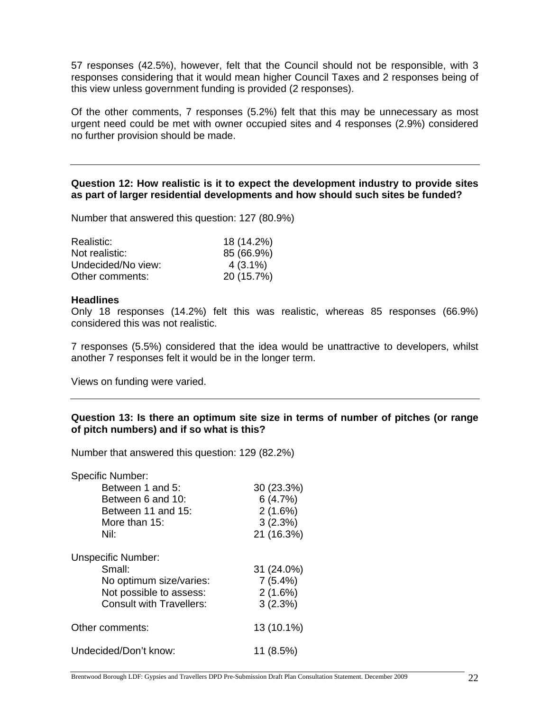57 responses (42.5%), however, felt that the Council should not be responsible, with 3 responses considering that it would mean higher Council Taxes and 2 responses being of this view unless government funding is provided (2 responses).

Of the other comments, 7 responses (5.2%) felt that this may be unnecessary as most urgent need could be met with owner occupied sites and 4 responses (2.9%) considered no further provision should be made.

#### **Question 12: How realistic is it to expect the development industry to provide sites as part of larger residential developments and how should such sites be funded?**

Number that answered this question: 127 (80.9%)

| Realistic:         | 18 (14.2%) |
|--------------------|------------|
| Not realistic:     | 85 (66.9%) |
| Undecided/No view: | $4(3.1\%)$ |
| Other comments:    | 20 (15.7%) |

#### **Headlines**

Only 18 responses (14.2%) felt this was realistic, whereas 85 responses (66.9%) considered this was not realistic.

7 responses (5.5%) considered that the idea would be unattractive to developers, whilst another 7 responses felt it would be in the longer term.

Views on funding were varied.

#### **Question 13: Is there an optimum site size in terms of number of pitches (or range of pitch numbers) and if so what is this?**

Number that answered this question: 129 (82.2%)

| <b>Specific Number:</b>         |            |
|---------------------------------|------------|
| Between 1 and 5:                | 30 (23.3%) |
| Between 6 and 10:               | 6(4.7%)    |
| Between 11 and 15:              | 2(1.6%)    |
| More than $15$ :                | 3(2.3%)    |
| Nil:                            | 21 (16.3%) |
| <b>Unspecific Number:</b>       |            |
| Small:                          | 31 (24.0%) |
| No optimum size/varies:         | 7(5.4%)    |
| Not possible to assess:         | 2(1.6%)    |
| <b>Consult with Travellers:</b> | 3(2.3%)    |
| Other comments:                 | 13 (10.1%) |
| Undecided/Don't know:           | 11 (8.5%)  |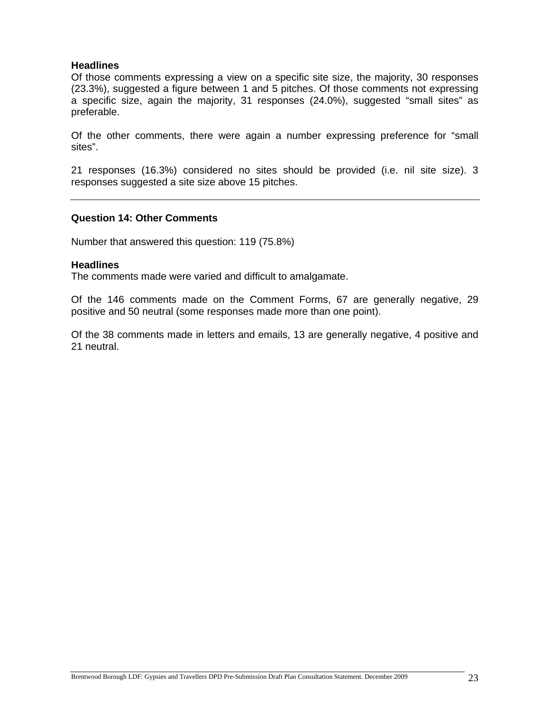#### **Headlines**

Of those comments expressing a view on a specific site size, the majority, 30 responses (23.3%), suggested a figure between 1 and 5 pitches. Of those comments not expressing a specific size, again the majority, 31 responses (24.0%), suggested "small sites" as preferable.

Of the other comments, there were again a number expressing preference for "small sites".

21 responses (16.3%) considered no sites should be provided (i.e. nil site size). 3 responses suggested a site size above 15 pitches.

#### **Question 14: Other Comments**

Number that answered this question: 119 (75.8%)

#### **Headlines**

The comments made were varied and difficult to amalgamate.

Of the 146 comments made on the Comment Forms, 67 are generally negative, 29 positive and 50 neutral (some responses made more than one point).

Of the 38 comments made in letters and emails, 13 are generally negative, 4 positive and 21 neutral.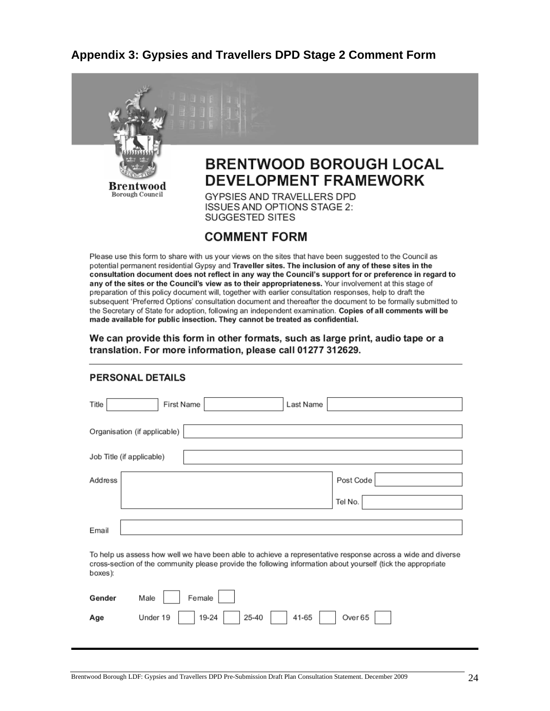### **Appendix 3: Gypsies and Travellers DPD Stage 2 Comment Form**



Please use this form to share with us your views on the sites that have been suggested to the Council as potential permanent residential Gypsy and Traveller sites. The inclusion of any of these sites in the consultation document does not reflect in any way the Council's support for or preference in regard to any of the sites or the Council's view as to their appropriateness. Your involvement at this stage of preparation of this policy document will, together with earlier consultation responses, help to draft the subsequent 'Preferred Options' consultation document and thereafter the document to be formally submitted to the Secretary of State for adoption, following an independent examination. Copies of all comments will be made available for public insection. They cannot be treated as confidential.

#### We can provide this form in other formats, such as large print, audio tape or a translation. For more information, please call 01277 312629.

| Title<br>First Name<br>Last Name                                                                                                                                                                                                       |
|----------------------------------------------------------------------------------------------------------------------------------------------------------------------------------------------------------------------------------------|
| Organisation (if applicable)                                                                                                                                                                                                           |
| Job Title (if applicable)                                                                                                                                                                                                              |
| Address<br>Post Code                                                                                                                                                                                                                   |
| Tel No.                                                                                                                                                                                                                                |
| Email                                                                                                                                                                                                                                  |
| To help us assess how well we have been able to achieve a representative response across a wide and diverse<br>cross-section of the community please provide the following information about yourself (tick the appropriate<br>boxes): |
| Female<br>Gender<br>Male                                                                                                                                                                                                               |
| 25-40<br>41-65<br>Under 19<br>19-24<br>Over 65<br>Age                                                                                                                                                                                  |
|                                                                                                                                                                                                                                        |

#### PERSONAL DETAILS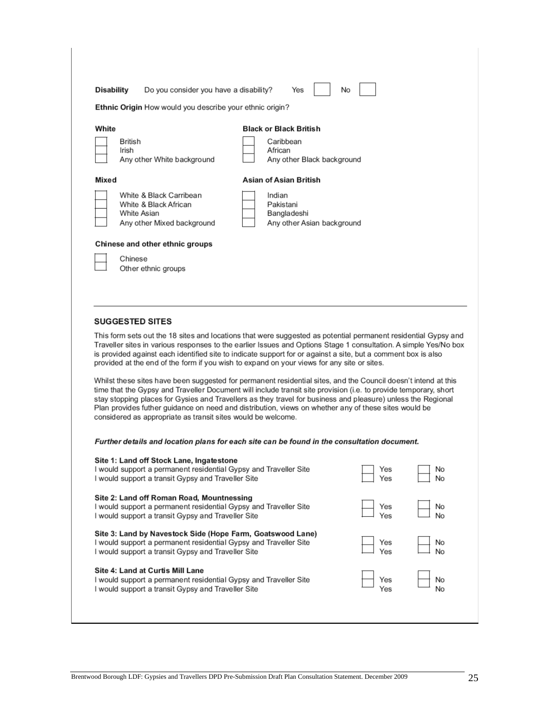| <b>Disability</b>         | Do you consider you have a disability?                                                                                                                                                                                                                                                                                                                                                                                                                                                                                     | No<br>Yes                                                                           |            |          |
|---------------------------|----------------------------------------------------------------------------------------------------------------------------------------------------------------------------------------------------------------------------------------------------------------------------------------------------------------------------------------------------------------------------------------------------------------------------------------------------------------------------------------------------------------------------|-------------------------------------------------------------------------------------|------------|----------|
|                           | <b>Ethnic Origin</b> How would you describe your ethnic origin?                                                                                                                                                                                                                                                                                                                                                                                                                                                            |                                                                                     |            |          |
| White<br>British<br>Irish | Any other White background                                                                                                                                                                                                                                                                                                                                                                                                                                                                                                 | <b>Black or Black British</b><br>Caribbean<br>African<br>Any other Black background |            |          |
| Mixed                     |                                                                                                                                                                                                                                                                                                                                                                                                                                                                                                                            | Asian of Asian British                                                              |            |          |
| White Asian               | White & Black Carribean<br>White & Black African<br>Any other Mixed background                                                                                                                                                                                                                                                                                                                                                                                                                                             | Indian<br>Pakistani<br>Bangladeshi<br>Any other Asian background                    |            |          |
| Chinese                   | Chinese and other ethnic groups<br>Other ethnic groups                                                                                                                                                                                                                                                                                                                                                                                                                                                                     |                                                                                     |            |          |
| <b>SUGGESTED SITES</b>    |                                                                                                                                                                                                                                                                                                                                                                                                                                                                                                                            |                                                                                     |            |          |
|                           | This form sets out the 18 sites and locations that were suggested as potential permanent residential Gypsy and<br>Traveller sites in various responses to the earlier Issues and Options Stage 1 consultation. A simple Yes/No box<br>is provided against each identified site to indicate support for or against a site, but a comment box is also<br>provided at the end of the form if you wish to expand on your views for any site or sites.                                                                          |                                                                                     |            |          |
|                           | Whilst these sites have been suggested for permanent residential sites, and the Council doesn't intend at this<br>time that the Gypsy and Traveller Document will include transit site provision (i.e. to provide temporary, short<br>stay stopping places for Gysies and Travellers as they travel for business and pleasure) unless the Regional<br>Plan provides futher guidance on need and distribution, views on whether any of these sites would be<br>considered as appropriate as transit sites would be welcome. |                                                                                     |            |          |
|                           | Further details and location plans for each site can be found in the consultation document.                                                                                                                                                                                                                                                                                                                                                                                                                                |                                                                                     |            |          |
|                           | Site 1: Land off Stock Lane, Ingatestone<br>I would support a permanent residential Gypsy and Traveller Site<br>I would support a transit Gypsy and Traveller Site                                                                                                                                                                                                                                                                                                                                                         |                                                                                     | Yes<br>Yes | No<br>No |
|                           | Site 2: Land off Roman Road, Mountnessing<br>I would support a permanent residential Gypsy and Traveller Site                                                                                                                                                                                                                                                                                                                                                                                                              |                                                                                     | Yes        | No       |

I would support a transit Gypsy and Traveller Site Yes Site 3: Land by Navestock Side (Hope Farm, Goatswood Lane) I would support a permanent residential Gypsy and Traveller Site Yes I would support a transit Gypsy and Traveller Site Yes Site 4: Land at Curtis Mill Lane I would support a permanent residential Gypsy and Traveller Site Yes I would support a transit Gypsy and Traveller Site Yes

No

No

No

No

No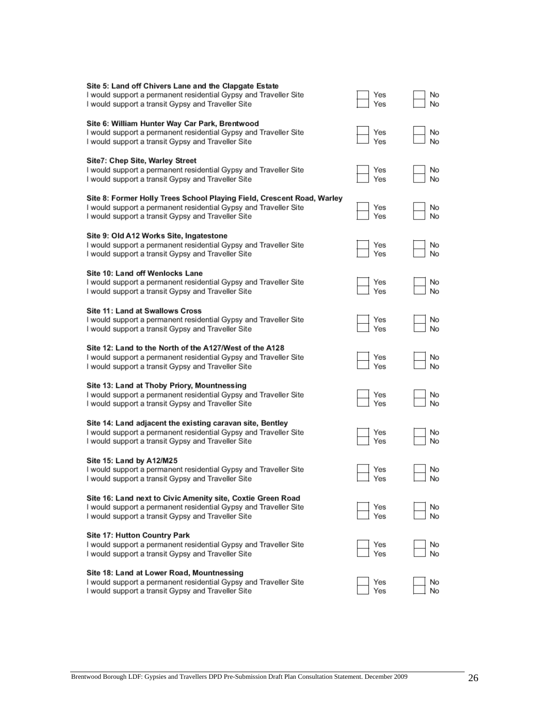| Site 5: Land off Chivers Lane and the Clapgate Estate<br>I would support a permanent residential Gypsy and Traveller Site<br>I would support a transit Gypsy and Traveller Site                  | Yes<br>Yes | No<br>No |
|--------------------------------------------------------------------------------------------------------------------------------------------------------------------------------------------------|------------|----------|
| Site 6: William Hunter Way Car Park, Brentwood<br>I would support a permanent residential Gypsy and Traveller Site<br>I would support a transit Gypsy and Traveller Site                         | Yes<br>Yes | No<br>No |
| Site7: Chep Site, Warley Street<br>I would support a permanent residential Gypsy and Traveller Site<br>I would support a transit Gypsy and Traveller Site                                        | Yes<br>Yes | No<br>No |
| Site 8: Former Holly Trees School Playing Field, Crescent Road, Warley<br>I would support a permanent residential Gypsy and Traveller Site<br>I would support a transit Gypsy and Traveller Site | Yes<br>Yes | No<br>No |
| Site 9: Old A12 Works Site, Ingatestone<br>I would support a permanent residential Gypsy and Traveller Site<br>I would support a transit Gypsy and Traveller Site                                | Yes<br>Yes | No<br>No |
| Site 10: Land off Wenlocks Lane<br>I would support a permanent residential Gypsy and Traveller Site<br>I would support a transit Gypsy and Traveller Site                                        | Yes<br>Yes | No<br>No |
| <b>Site 11: Land at Swallows Cross</b><br>I would support a permanent residential Gypsy and Traveller Site<br>I would support a transit Gypsy and Traveller Site                                 | Yes<br>Yes | No<br>No |
| Site 12: Land to the North of the A127/West of the A128<br>I would support a permanent residential Gypsy and Traveller Site<br>I would support a transit Gypsy and Traveller Site                | Yes<br>Yes | No<br>No |
| Site 13: Land at Thoby Priory, Mountnessing<br>I would support a permanent residential Gypsy and Traveller Site<br>I would support a transit Gypsy and Traveller Site                            | Yes<br>Yes | No<br>No |
| Site 14: Land adjacent the existing caravan site, Bentley<br>I would support a permanent residential Gypsy and Traveller Site<br>I would support a transit Gypsy and Traveller Site              | Yes<br>Yes | No<br>No |
| Site 15: Land by A12/M25<br>I would support a permanent residential Gypsy and Traveller Site<br>I would support a transit Gypsy and Traveller Site                                               | Yes<br>Yes | No<br>No |
| Site 16: Land next to Civic Amenity site, Coxtie Green Road<br>I would support a permanent residential Gypsy and Traveller Site<br>I would support a transit Gypsy and Traveller Site            | Yes<br>Yes | No<br>No |
| <b>Site 17: Hutton Country Park</b><br>I would support a permanent residential Gypsy and Traveller Site<br>I would support a transit Gypsy and Traveller Site                                    | Yes<br>Yes | No<br>No |
| Site 18: Land at Lower Road, Mountnessing<br>I would support a permanent residential Gypsy and Traveller Site<br>I would support a transit Gypsy and Traveller Site                              | Yes<br>Yes | No<br>No |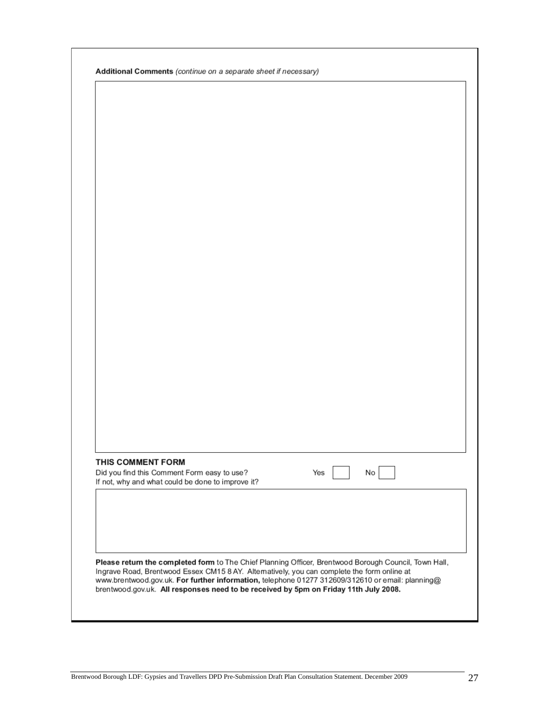| THIS COMMENT FORM | Did you find this Comment Form easy to use?                                                           | Yes                                                                                        | No |  |
|-------------------|-------------------------------------------------------------------------------------------------------|--------------------------------------------------------------------------------------------|----|--|
|                   | If not, why and what could be done to improve it?                                                     |                                                                                            |    |  |
|                   |                                                                                                       |                                                                                            |    |  |
|                   |                                                                                                       |                                                                                            |    |  |
|                   |                                                                                                       |                                                                                            |    |  |
|                   |                                                                                                       |                                                                                            |    |  |
|                   | Please return the completed form to The Chief Planning Officer, Brentwood Borough Council, Town Hall, | Ingrave Road, Brentwood Essex CM15 8 AY. Altematively, you can complete the form online at |    |  |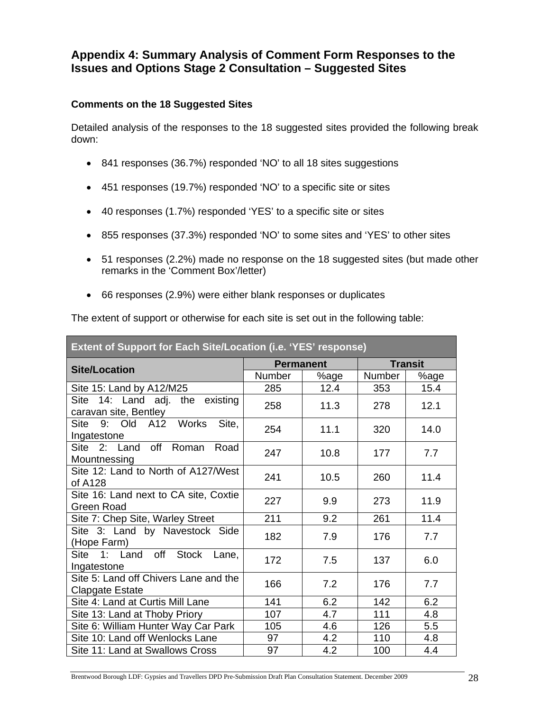### **Appendix 4: Summary Analysis of Comment Form Responses to the Issues and Options Stage 2 Consultation – Suggested Sites**

#### **Comments on the 18 Suggested Sites**

Detailed analysis of the responses to the 18 suggested sites provided the following break down:

- 841 responses (36.7%) responded 'NO' to all 18 sites suggestions
- 451 responses (19.7%) responded 'NO' to a specific site or sites
- 40 responses (1.7%) responded 'YES' to a specific site or sites
- 855 responses (37.3%) responded 'NO' to some sites and 'YES' to other sites
- 51 responses (2.2%) made no response on the 18 suggested sites (but made other remarks in the 'Comment Box'/letter)
- 66 responses (2.9%) were either blank responses or duplicates

The extent of support or otherwise for each site is set out in the following table:

| Extent of Support for Each Site/Location (i.e. 'YES' response) |                  |      |                |      |
|----------------------------------------------------------------|------------------|------|----------------|------|
| <b>Site/Location</b>                                           | <b>Permanent</b> |      | <b>Transit</b> |      |
|                                                                | Number           | %age | <b>Number</b>  | %age |
| Site 15: Land by A12/M25                                       | 285              | 12.4 | 353            | 15.4 |
| Site 14: Land adj. the existing<br>caravan site, Bentley       | 258              | 11.3 | 278            | 12.1 |
| 9: Old A12 Works<br>Site,<br>Site<br>Ingatestone               | 254              | 11.1 | 320            | 14.0 |
| Site 2: Land off Roman Road<br>Mountnessing                    | 247              | 10.8 | 177            | 7.7  |
| Site 12: Land to North of A127/West<br>of A128                 | 241              | 10.5 | 260            | 11.4 |
| Site 16: Land next to CA site, Coxtie<br><b>Green Road</b>     | 227              | 9.9  | 273            | 11.9 |
| Site 7: Chep Site, Warley Street                               | 211              | 9.2  | 261            | 11.4 |
| Site 3: Land by Navestock Side<br>(Hope Farm)                  | 182              | 7.9  | 176            | 7.7  |
| Site 1: Land off Stock Lane,<br>Ingatestone                    | 172              | 7.5  | 137            | 6.0  |
| Site 5: Land off Chivers Lane and the<br>Clapgate Estate       | 166              | 7.2  | 176            | 7.7  |
| Site 4: Land at Curtis Mill Lane                               | 141              | 6.2  | 142            | 6.2  |
| Site 13: Land at Thoby Priory                                  | 107              | 4.7  | 111            | 4.8  |
| Site 6: William Hunter Way Car Park                            | 105              | 4.6  | 126            | 5.5  |
| Site 10: Land off Wenlocks Lane                                | 97               | 4.2  | 110            | 4.8  |
| Site 11: Land at Swallows Cross                                | 97               | 4.2  | 100            | 4.4  |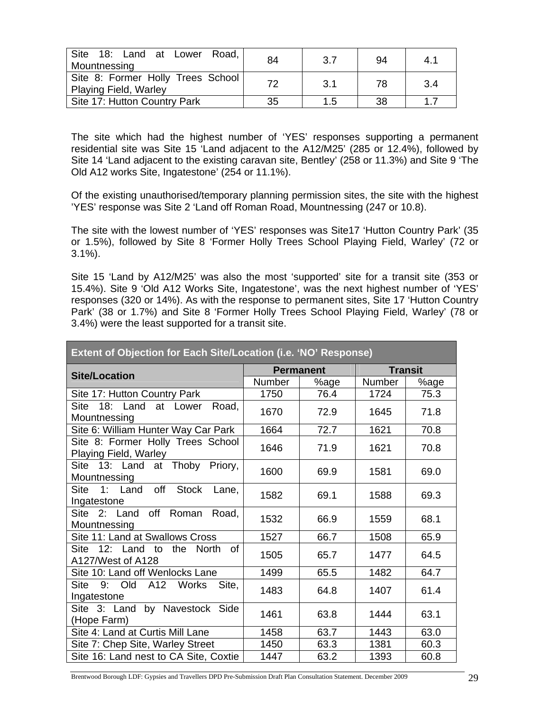| Site 18: Land at Lower Road,<br>84<br>94<br>-3.7<br>4.1<br>Mountnessing |    |      |    |     |
|-------------------------------------------------------------------------|----|------|----|-----|
| Site 8: Former Holly Trees School<br><b>Playing Field, Warley</b>       | 72 | -3.1 | 78 | 3.4 |
| Site 17: Hutton Country Park                                            | 35 | 1.5  | 38 | 17  |

The site which had the highest number of 'YES' responses supporting a permanent residential site was Site 15 'Land adjacent to the A12/M25' (285 or 12.4%), followed by Site 14 'Land adjacent to the existing caravan site, Bentley' (258 or 11.3%) and Site 9 'The Old A12 works Site, Ingatestone' (254 or 11.1%).

Of the existing unauthorised/temporary planning permission sites, the site with the highest 'YES' response was Site 2 'Land off Roman Road, Mountnessing (247 or 10.8).

The site with the lowest number of 'YES' responses was Site17 'Hutton Country Park' (35 or 1.5%), followed by Site 8 'Former Holly Trees School Playing Field, Warley' (72 or 3.1%).

Site 15 'Land by A12/M25' was also the most 'supported' site for a transit site (353 or 15.4%). Site 9 'Old A12 Works Site, Ingatestone', was the next highest number of 'YES' responses (320 or 14%). As with the response to permanent sites, Site 17 'Hutton Country Park' (38 or 1.7%) and Site 8 'Former Holly Trees School Playing Field, Warley' (78 or 3.4%) were the least supported for a transit site.

| Extent of Objection for Each Site/Location (i.e. 'NO' Response)  |                  |      |                |      |
|------------------------------------------------------------------|------------------|------|----------------|------|
| <b>Site/Location</b>                                             | <b>Permanent</b> |      | <b>Transit</b> |      |
|                                                                  | Number           | %age | <b>Number</b>  | %age |
| Site 17: Hutton Country Park                                     | 1750             | 76.4 | 1724           | 75.3 |
| Site<br>18: Land<br>at Lower<br>Road,<br>Mountnessing            | 1670             | 72.9 | 1645           | 71.8 |
| Site 6: William Hunter Way Car Park                              | 1664             | 72.7 | 1621           | 70.8 |
| Site 8: Former Holly Trees School<br>Playing Field, Warley       | 1646             | 71.9 | 1621           | 70.8 |
| Site 13: Land at Thoby Priory,<br>Mountnessing                   | 1600             | 69.9 | 1581           | 69.0 |
| off<br><b>Stock</b><br>Site<br>1: Land<br>Lane,<br>Ingatestone   | 1582             | 69.1 | 1588           | 69.3 |
| Site 2: Land off<br>Roman<br>Road,<br>Mountnessing               | 1532             | 66.9 | 1559           | 68.1 |
| Site 11: Land at Swallows Cross                                  | 1527             | 66.7 | 1508           | 65.9 |
| 12: Land<br>Site<br>the North<br>to<br>οf<br>A127/West of A128   | 1505             | 65.7 | 1477           | 64.5 |
| Site 10: Land off Wenlocks Lane                                  | 1499             | 65.5 | 1482           | 64.7 |
| <b>Site</b><br>Site,<br>9.<br>Old<br>A12<br>Works<br>Ingatestone | 1483             | 64.8 | 1407           | 61.4 |
| Site 3: Land by Navestock Side<br>(Hope Farm)                    | 1461             | 63.8 | 1444           | 63.1 |
| Site 4: Land at Curtis Mill Lane                                 | 1458             | 63.7 | 1443           | 63.0 |
| Site 7: Chep Site, Warley Street                                 | 1450             | 63.3 | 1381           | 60.3 |
| Site 16: Land nest to CA Site, Coxtie                            | 1447             | 63.2 | 1393           | 60.8 |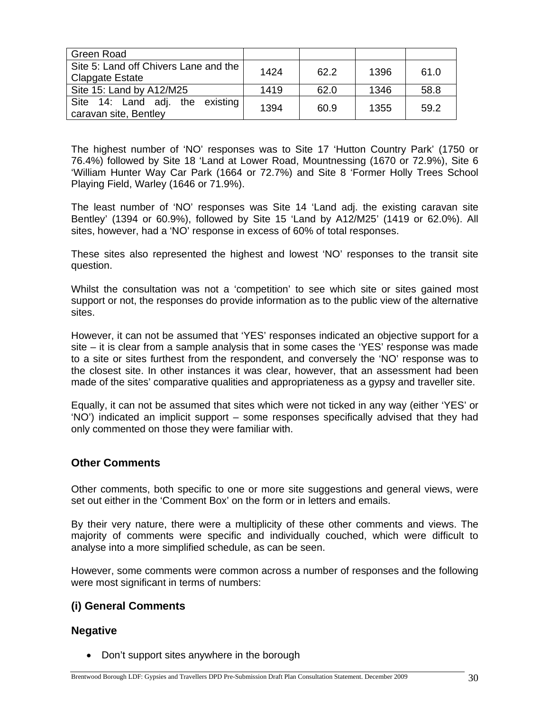| Green Road                                                      |      |      |      |      |
|-----------------------------------------------------------------|------|------|------|------|
| Site 5: Land off Chivers Lane and the<br><b>Clapgate Estate</b> | 1424 | 62.2 | 1396 | 61.0 |
| Site 15: Land by A12/M25                                        | 1419 | 62.0 | 1346 | 58.8 |
| Site 14: Land adj. the existing<br>caravan site, Bentley        | 1394 | 60.9 | 1355 | 59.2 |

The highest number of 'NO' responses was to Site 17 'Hutton Country Park' (1750 or 76.4%) followed by Site 18 'Land at Lower Road, Mountnessing (1670 or 72.9%), Site 6 'William Hunter Way Car Park (1664 or 72.7%) and Site 8 'Former Holly Trees School Playing Field, Warley (1646 or 71.9%).

The least number of 'NO' responses was Site 14 'Land adj. the existing caravan site Bentley' (1394 or 60.9%), followed by Site 15 'Land by A12/M25' (1419 or 62.0%). All sites, however, had a 'NO' response in excess of 60% of total responses.

These sites also represented the highest and lowest 'NO' responses to the transit site question.

Whilst the consultation was not a 'competition' to see which site or sites gained most support or not, the responses do provide information as to the public view of the alternative sites.

However, it can not be assumed that 'YES' responses indicated an objective support for a site – it is clear from a sample analysis that in some cases the 'YES' response was made to a site or sites furthest from the respondent, and conversely the 'NO' response was to the closest site. In other instances it was clear, however, that an assessment had been made of the sites' comparative qualities and appropriateness as a gypsy and traveller site.

Equally, it can not be assumed that sites which were not ticked in any way (either 'YES' or 'NO') indicated an implicit support – some responses specifically advised that they had only commented on those they were familiar with.

#### **Other Comments**

Other comments, both specific to one or more site suggestions and general views, were set out either in the 'Comment Box' on the form or in letters and emails.

By their very nature, there were a multiplicity of these other comments and views. The majority of comments were specific and individually couched, which were difficult to analyse into a more simplified schedule, as can be seen.

However, some comments were common across a number of responses and the following were most significant in terms of numbers:

#### **(i) General Comments**

#### **Negative**

• Don't support sites anywhere in the borough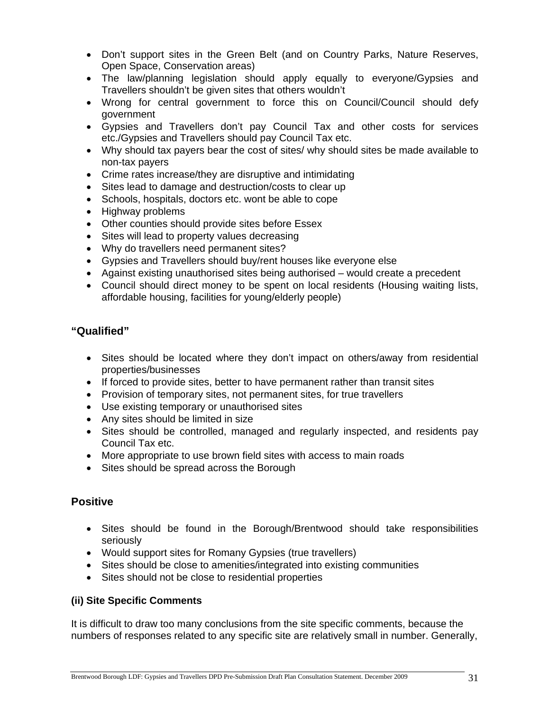- Don't support sites in the Green Belt (and on Country Parks, Nature Reserves, Open Space, Conservation areas)
- The law/planning legislation should apply equally to everyone/Gypsies and Travellers shouldn't be given sites that others wouldn't
- Wrong for central government to force this on Council/Council should defy government
- Gypsies and Travellers don't pay Council Tax and other costs for services etc./Gypsies and Travellers should pay Council Tax etc.
- Why should tax payers bear the cost of sites/ why should sites be made available to non-tax payers
- Crime rates increase/they are disruptive and intimidating
- Sites lead to damage and destruction/costs to clear up
- Schools, hospitals, doctors etc. wont be able to cope
- Highway problems
- Other counties should provide sites before Essex
- Sites will lead to property values decreasing
- Why do travellers need permanent sites?
- Gypsies and Travellers should buy/rent houses like everyone else
- Against existing unauthorised sites being authorised would create a precedent
- Council should direct money to be spent on local residents (Housing waiting lists, affordable housing, facilities for young/elderly people)

### **"Qualified"**

- Sites should be located where they don't impact on others/away from residential properties/businesses
- If forced to provide sites, better to have permanent rather than transit sites
- Provision of temporary sites, not permanent sites, for true travellers
- Use existing temporary or unauthorised sites
- Any sites should be limited in size
- Sites should be controlled, managed and regularly inspected, and residents pay Council Tax etc.
- More appropriate to use brown field sites with access to main roads
- Sites should be spread across the Borough

### **Positive**

- Sites should be found in the Borough/Brentwood should take responsibilities seriously
- Would support sites for Romany Gypsies (true travellers)
- Sites should be close to amenities/integrated into existing communities
- Sites should not be close to residential properties

#### **(ii) Site Specific Comments**

It is difficult to draw too many conclusions from the site specific comments, because the numbers of responses related to any specific site are relatively small in number. Generally,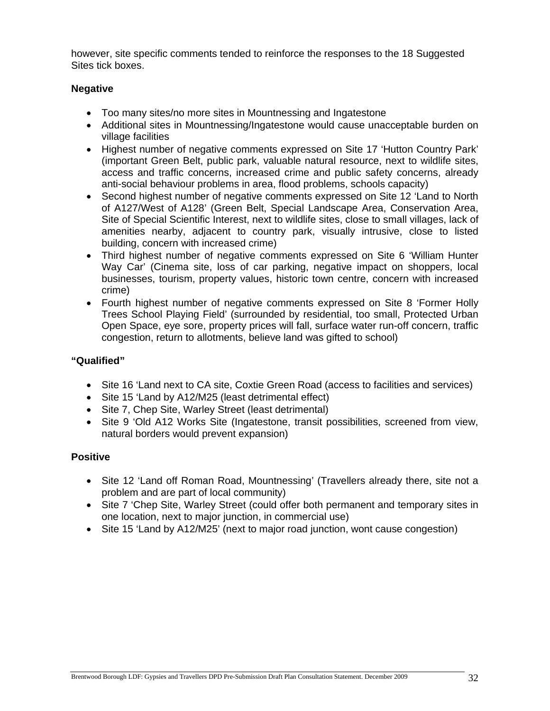however, site specific comments tended to reinforce the responses to the 18 Suggested Sites tick boxes.

#### **Negative**

- Too many sites/no more sites in Mountnessing and Ingatestone
- Additional sites in Mountnessing/Ingatestone would cause unacceptable burden on village facilities
- Highest number of negative comments expressed on Site 17 'Hutton Country Park' (important Green Belt, public park, valuable natural resource, next to wildlife sites, access and traffic concerns, increased crime and public safety concerns, already anti-social behaviour problems in area, flood problems, schools capacity)
- Second highest number of negative comments expressed on Site 12 'Land to North of A127/West of A128' (Green Belt, Special Landscape Area, Conservation Area, Site of Special Scientific Interest, next to wildlife sites, close to small villages, lack of amenities nearby, adjacent to country park, visually intrusive, close to listed building, concern with increased crime)
- Third highest number of negative comments expressed on Site 6 'William Hunter Way Car' (Cinema site, loss of car parking, negative impact on shoppers, local businesses, tourism, property values, historic town centre, concern with increased crime)
- Fourth highest number of negative comments expressed on Site 8 'Former Holly Trees School Playing Field' (surrounded by residential, too small, Protected Urban Open Space, eye sore, property prices will fall, surface water run-off concern, traffic congestion, return to allotments, believe land was gifted to school)

#### **"Qualified"**

- Site 16 'Land next to CA site, Coxtie Green Road (access to facilities and services)
- Site 15 'Land by A12/M25 (least detrimental effect)
- Site 7, Chep Site, Warley Street (least detrimental)
- Site 9 'Old A12 Works Site (Ingatestone, transit possibilities, screened from view, natural borders would prevent expansion)

#### **Positive**

- Site 12 'Land off Roman Road, Mountnessing' (Travellers already there, site not a problem and are part of local community)
- Site 7 'Chep Site, Warley Street (could offer both permanent and temporary sites in one location, next to major junction, in commercial use)
- Site 15 'Land by A12/M25' (next to major road junction, wont cause congestion)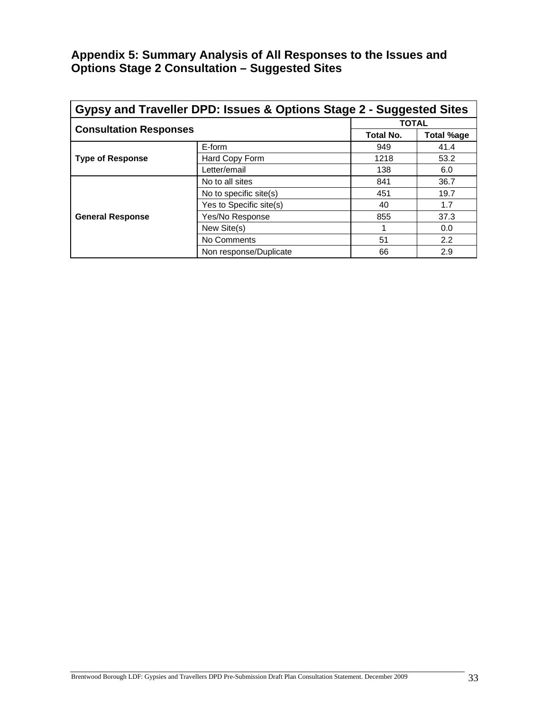### **Appendix 5: Summary Analysis of All Responses to the Issues and Options Stage 2 Consultation – Suggested Sites**

| Gypsy and Traveller DPD: Issues & Options Stage 2 - Suggested Sites |                         |                  |                   |  |  |
|---------------------------------------------------------------------|-------------------------|------------------|-------------------|--|--|
|                                                                     | <b>TOTAL</b>            |                  |                   |  |  |
| <b>Consultation Responses</b>                                       |                         | <b>Total No.</b> | <b>Total %age</b> |  |  |
|                                                                     | E-form                  | 949              | 41.4              |  |  |
| <b>Type of Response</b>                                             | Hard Copy Form          | 1218             | 53.2              |  |  |
|                                                                     | Letter/email            | 138              | 6.0               |  |  |
|                                                                     | No to all sites         | 841              | 36.7              |  |  |
|                                                                     | No to specific site(s)  | 451              | 19.7              |  |  |
|                                                                     | Yes to Specific site(s) | 40               | 1.7               |  |  |
| <b>General Response</b>                                             | Yes/No Response         | 855              | 37.3              |  |  |
|                                                                     | New Site(s)             |                  | 0.0               |  |  |
|                                                                     | No Comments             | 51               | 2.2               |  |  |
|                                                                     | Non response/Duplicate  | 66               | 2.9               |  |  |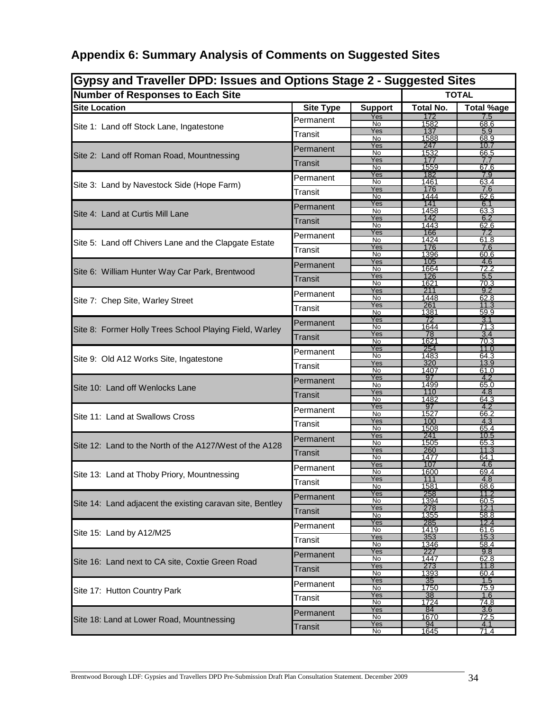# **Appendix 6: Summary Analysis of Comments on Suggested Sites**

| Gypsy and Traveller DPD: Issues and Options Stage 2 - Suggested Sites |                  |                                          |                     |                    |
|-----------------------------------------------------------------------|------------------|------------------------------------------|---------------------|--------------------|
| <b>Number of Responses to Each Site</b>                               |                  |                                          | <b>TOTAL</b>        |                    |
| <b>Site Location</b>                                                  | <b>Site Type</b> | <b>Support</b>                           | <b>Total No.</b>    | <b>Total %age</b>  |
|                                                                       | Permanent        | Yes<br>No                                | 172<br>1582         | 7.5<br>68.6        |
| Site 1: Land off Stock Lane, Ingatestone                              | Transit          | Yes                                      | 137                 | 5.9                |
|                                                                       | Permanent        | 1588<br>No<br>68.9<br>Yes<br>247<br>10.7 |                     |                    |
| Site 2: Land off Roman Road, Mountnessing                             | Transit          | No<br>Yes                                | 1532<br>177         | <u>66.5</u><br>7.7 |
|                                                                       |                  | No<br>Yes                                | 1559<br>182         | 67.6<br>7.9        |
| Site 3: Land by Navestock Side (Hope Farm)                            | Permanent        | No                                       | 1461                | 63.4               |
|                                                                       | Transit          | Yes<br>No                                | 176<br>1444         | 7.6<br>62.6        |
|                                                                       | Permanent        | Yes<br>No                                | 141<br>1458         | 6.1<br>63.3        |
| Site 4: Land at Curtis Mill Lane                                      | Transit          | Yes                                      | 142                 | 6.2                |
|                                                                       |                  | No<br>Yes                                | 1443<br>166         | 62.6               |
| Site 5: Land off Chivers Lane and the Clapgate Estate                 | Permanent        | No                                       | 1424                | 61.8               |
|                                                                       | Transit          | Yes<br>No                                | 176<br>1396         | 7.6<br>60.6        |
|                                                                       | Permanent        | Yes                                      | 105                 | 4.6<br>72.2        |
| Site 6: William Hunter Way Car Park, Brentwood                        | Transit          | No<br>Yes                                | 1664<br>126         | 5.5                |
|                                                                       |                  | No<br>Yes                                | 1621<br>211         | 70.3<br>9.2        |
| Site 7: Chep Site, Warley Street                                      | Permanent        | No                                       | 1448                | 62.8               |
|                                                                       | Transit          | Yes<br>No                                | 261<br>1381         | 11.3<br>59.9       |
|                                                                       | Permanent        | Yes                                      | 72                  | 3.1                |
| Site 8: Former Holly Trees School Playing Field, Warley               | Transit          | No<br>Yes                                | 1644<br>78          | 71.3<br>3.4        |
|                                                                       |                  | No<br>Yes                                | 1621<br>254         | 70.3<br>11.0       |
| Site 9: Old A12 Works Site, Ingatestone                               | Permanent        | No                                       | 1483                | 64.3               |
|                                                                       | Transit          | Yes<br>No                                | 320<br>1407         | 13.9<br>61.0       |
|                                                                       | Permanent        | Yes                                      | 97                  | 4.2                |
| Site 10: Land off Wenlocks Lane                                       | Transit          | No<br>Yes                                | 1499<br>110         | 65.0<br>4.8        |
|                                                                       |                  | No<br>Yes                                | 1482<br>97          | 64.3<br>4.2        |
| Site 11: Land at Swallows Cross                                       | Permanent        | No                                       | 1527                | 66.2               |
|                                                                       | Transit          | Yes<br>No                                | 100<br>1508         | 4.3<br>65.4        |
|                                                                       | Permanent        | Yes                                      | 241                 | 10.5               |
| Site 12: Land to the North of the A127/West of the A128               |                  | No<br>Yes                                | 1505<br>260         | 65.3<br>11.3       |
|                                                                       | Transit          | No                                       | 1477                | 64.1               |
|                                                                       | Permanent        | Yes<br>No                                | 107<br>1600         | 4.6<br>69.4        |
| Site 13: Land at Thoby Priory, Mountnessing                           | Transit          | Yes                                      | 111                 | 4.8                |
|                                                                       | Permanent        | No<br>Yes                                | 1581<br>258         | 68.6<br>11.2       |
| Site 14: Land adjacent the existing caravan site, Bentley             |                  | No<br>Yes                                | 1394<br>278         | 60.5<br>12.1       |
|                                                                       | Transit          | <u>No</u>                                | 1355                | <u>58.8</u>        |
|                                                                       | Permanent        | Yes<br>No                                | 285<br>1419         | 12.4<br>61.6       |
| Site 15: Land by A12/M25                                              | Transit          | Yes                                      | 353                 | 15.3               |
|                                                                       |                  | No<br>Yes                                | 1346<br>227         | 58.4<br>9.8        |
| Site 16: Land next to CA site, Coxtie Green Road                      | Permanent        | No                                       | 1447                | 62.8               |
|                                                                       | Transit          | Yes<br>No                                | 273<br><u> 1393</u> | 11.8<br>60.4       |
|                                                                       | Permanent        | Yes                                      | <u>35</u>           | 1.5                |
| Site 17: Hutton Country Park                                          | Transit          | No<br>Yes                                | 1750<br>38          | <u>75.9</u><br>1.6 |
|                                                                       |                  | No<br>Yes                                | 1724<br>84          | <u>74.8</u><br>3.6 |
| Site 18: Land at Lower Road, Mountnessing                             | Permanent        | No                                       | 1670                | <u>72.5</u>        |
|                                                                       | <b>Transit</b>   | Yes<br>No                                | 94<br>1645          | 4.1<br>71.4        |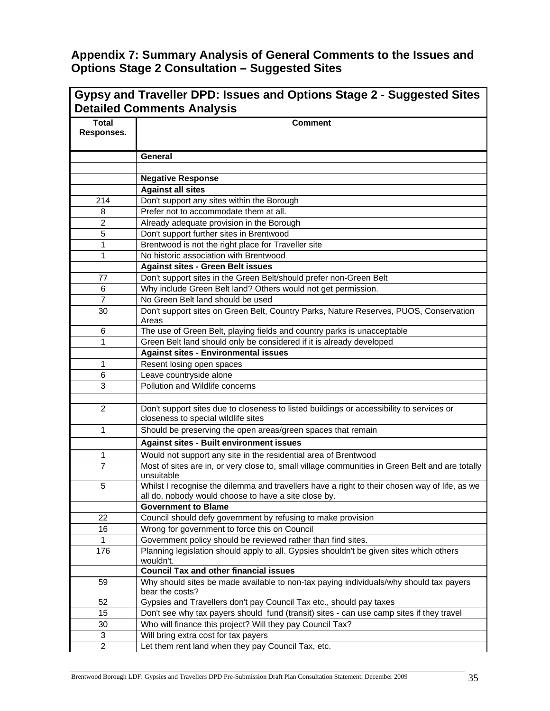### **Appendix 7: Summary Analysis of General Comments to the Issues and Options Stage 2 Consultation – Suggested Sites**

|                            | Gypsy and Traveller DPD: Issues and Options Stage 2 - Suggested Sites<br><b>Detailed Comments Analysis</b>                                            |
|----------------------------|-------------------------------------------------------------------------------------------------------------------------------------------------------|
| <b>Total</b><br>Responses. | <b>Comment</b>                                                                                                                                        |
|                            | <b>General</b>                                                                                                                                        |
|                            |                                                                                                                                                       |
|                            | <b>Negative Response</b>                                                                                                                              |
|                            | <b>Against all sites</b>                                                                                                                              |
| 214                        | Don't support any sites within the Borough                                                                                                            |
| 8                          | Prefer not to accommodate them at all.                                                                                                                |
| $\overline{c}$             | Already adequate provision in the Borough                                                                                                             |
| 5                          | Don't support further sites in Brentwood                                                                                                              |
| 1                          | Brentwood is not the right place for Traveller site                                                                                                   |
| 1                          | No historic association with Brentwood                                                                                                                |
|                            | <b>Against sites - Green Belt issues</b>                                                                                                              |
| 77                         | Don't support sites in the Green Belt/should prefer non-Green Belt                                                                                    |
| 6                          | Why include Green Belt land? Others would not get permission.                                                                                         |
| $\overline{7}$             | No Green Belt land should be used                                                                                                                     |
| 30                         | Don't support sites on Green Belt, Country Parks, Nature Reserves, PUOS, Conservation<br>Areas                                                        |
| 6                          | The use of Green Belt, playing fields and country parks is unacceptable                                                                               |
| 1                          | Green Belt land should only be considered if it is already developed                                                                                  |
|                            | <b>Against sites - Environmental issues</b>                                                                                                           |
| 1                          | Resent losing open spaces                                                                                                                             |
| 6                          | Leave countryside alone                                                                                                                               |
| 3                          | Pollution and Wildlife concerns                                                                                                                       |
|                            |                                                                                                                                                       |
| $\overline{2}$             | Don't support sites due to closeness to listed buildings or accessibility to services or<br>closeness to special wildlife sites                       |
| 1                          | Should be preserving the open areas/green spaces that remain                                                                                          |
|                            | <b>Against sites - Built environment issues</b>                                                                                                       |
| 1                          | Would not support any site in the residential area of Brentwood                                                                                       |
| $\overline{7}$             | Most of sites are in, or very close to, small village communities in Green Belt and are totally<br>unsuitable                                         |
| 5                          | Whilst I recognise the dilemma and travellers have a right to their chosen way of life, as we<br>all do, nobody would choose to have a site close by. |
|                            | <b>Government to Blame</b>                                                                                                                            |
| 22                         | Council should defy government by refusing to make provision                                                                                          |
| 16                         | Wrong for government to force this on Council                                                                                                         |
| 1                          | Government policy should be reviewed rather than find sites.                                                                                          |
| 176                        | Planning legislation should apply to all. Gypsies shouldn't be given sites which others<br>wouldn't.                                                  |
|                            | <b>Council Tax and other financial issues</b>                                                                                                         |
| 59                         | Why should sites be made available to non-tax paying individuals/why should tax payers<br>bear the costs?                                             |
| 52                         | Gypsies and Travellers don't pay Council Tax etc., should pay taxes                                                                                   |
| 15                         | Don't see why tax payers should fund (transit) sites - can use camp sites if they travel                                                              |
| 30                         | Who will finance this project? Will they pay Council Tax?                                                                                             |
| 3                          | Will bring extra cost for tax payers                                                                                                                  |
| $\overline{c}$             | Let them rent land when they pay Council Tax, etc.                                                                                                    |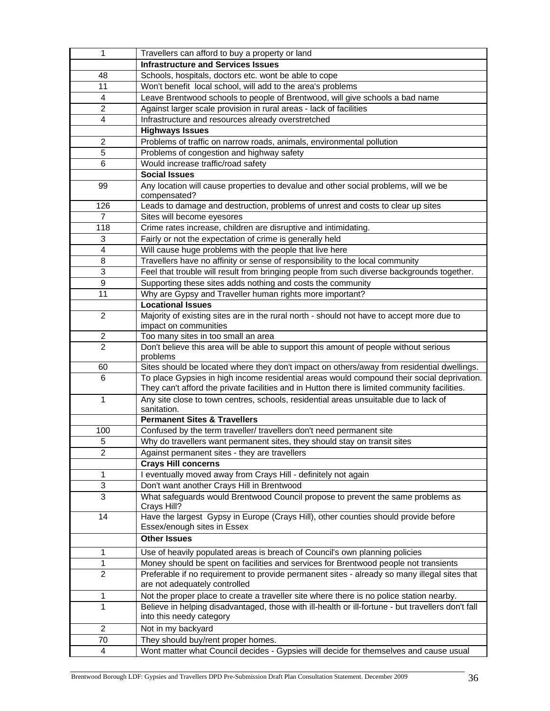| 1                | Travellers can afford to buy a property or land                                                                                                                                             |
|------------------|---------------------------------------------------------------------------------------------------------------------------------------------------------------------------------------------|
|                  | <b>Infrastructure and Services Issues</b>                                                                                                                                                   |
| 48               | Schools, hospitals, doctors etc. wont be able to cope                                                                                                                                       |
| 11               | Won't benefit local school, will add to the area's problems                                                                                                                                 |
| 4                | Leave Brentwood schools to people of Brentwood, will give schools a bad name                                                                                                                |
| $\overline{c}$   | Against larger scale provision in rural areas - lack of facilities                                                                                                                          |
| 4                | Infrastructure and resources already overstretched                                                                                                                                          |
|                  | <b>Highways Issues</b>                                                                                                                                                                      |
| $\overline{2}$   | Problems of traffic on narrow roads, animals, environmental pollution                                                                                                                       |
| 5                | Problems of congestion and highway safety                                                                                                                                                   |
| 6                | Would increase traffic/road safety                                                                                                                                                          |
|                  | <b>Social Issues</b>                                                                                                                                                                        |
| 99               | Any location will cause properties to devalue and other social problems, will we be                                                                                                         |
|                  | compensated?                                                                                                                                                                                |
| 126              | Leads to damage and destruction, problems of unrest and costs to clear up sites                                                                                                             |
| $\overline{7}$   | Sites will become eyesores                                                                                                                                                                  |
| 118              | Crime rates increase, children are disruptive and intimidating.                                                                                                                             |
| 3                | Fairly or not the expectation of crime is generally held                                                                                                                                    |
| 4                | Will cause huge problems with the people that live here                                                                                                                                     |
| 8                | Travellers have no affinity or sense of responsibility to the local community                                                                                                               |
| 3                | Feel that trouble will result from bringing people from such diverse backgrounds together.                                                                                                  |
| 9                | Supporting these sites adds nothing and costs the community                                                                                                                                 |
| 11               | Why are Gypsy and Traveller human rights more important?                                                                                                                                    |
|                  | <b>Locational Issues</b>                                                                                                                                                                    |
| $\overline{2}$   | Majority of existing sites are in the rural north - should not have to accept more due to<br>impact on communities                                                                          |
| $\boldsymbol{2}$ | Too many sites in too small an area                                                                                                                                                         |
| $\overline{2}$   | Don't believe this area will be able to support this amount of people without serious<br>problems                                                                                           |
| 60               | Sites should be located where they don't impact on others/away from residential dwellings.                                                                                                  |
| 6                | To place Gypsies in high income residential areas would compound their social deprivation.<br>They can't afford the private facilities and in Hutton there is limited community facilities. |
| 1                | Any site close to town centres, schools, residential areas unsuitable due to lack of<br>sanitation.                                                                                         |
|                  | <b>Permanent Sites &amp; Travellers</b>                                                                                                                                                     |
| 100              | Confused by the term traveller/ travellers don't need permanent site                                                                                                                        |
| 5                | Why do travellers want permanent sites, they should stay on transit sites                                                                                                                   |
| 2                | Against permanent sites - they are travellers                                                                                                                                               |
|                  | <b>Crays Hill concerns</b>                                                                                                                                                                  |
| 1                | I eventually moved away from Crays Hill - definitely not again                                                                                                                              |
| 3                | Don't want another Crays Hill in Brentwood                                                                                                                                                  |
| 3                | What safeguards would Brentwood Council propose to prevent the same problems as<br>Crays Hill?                                                                                              |
| 14               | Have the largest Gypsy in Europe (Crays Hill), other counties should provide before<br>Essex/enough sites in Essex                                                                          |
|                  | <b>Other Issues</b>                                                                                                                                                                         |
| 1                | Use of heavily populated areas is breach of Council's own planning policies                                                                                                                 |
| 1                | Money should be spent on facilities and services for Brentwood people not transients                                                                                                        |
| $\overline{2}$   | Preferable if no requirement to provide permanent sites - already so many illegal sites that<br>are not adequately controlled                                                               |
| 1                | Not the proper place to create a traveller site where there is no police station nearby.                                                                                                    |
| 1                | Believe in helping disadvantaged, those with ill-health or ill-fortune - but travellers don't fall                                                                                          |
|                  | into this needy category                                                                                                                                                                    |
| 2                | Not in my backyard                                                                                                                                                                          |
| 70               | They should buy/rent proper homes.                                                                                                                                                          |
| 4                | Wont matter what Council decides - Gypsies will decide for themselves and cause usual                                                                                                       |
|                  |                                                                                                                                                                                             |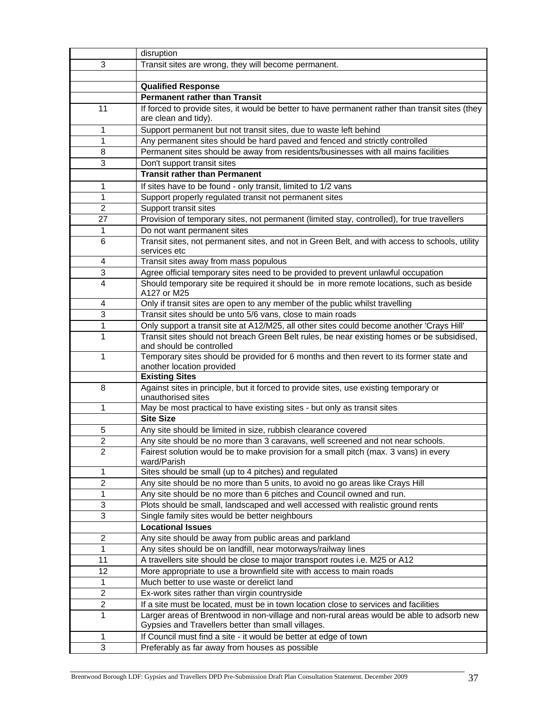|                         | disruption                                                                                                  |
|-------------------------|-------------------------------------------------------------------------------------------------------------|
| 3                       | Transit sites are wrong, they will become permanent.                                                        |
|                         |                                                                                                             |
|                         | <b>Qualified Response</b>                                                                                   |
|                         | <b>Permanent rather than Transit</b>                                                                        |
| 11                      | If forced to provide sites, it would be better to have permanent rather than transit sites (they            |
|                         | are clean and tidy).                                                                                        |
| 1                       | Support permanent but not transit sites, due to waste left behind                                           |
| 1                       | Any permanent sites should be hard paved and fenced and strictly controlled                                 |
| 8                       | Permanent sites should be away from residents/businesses with all mains facilities                          |
| 3                       | Don't support transit sites                                                                                 |
|                         | <b>Transit rather than Permanent</b>                                                                        |
| 1                       | If sites have to be found - only transit, limited to 1/2 vans                                               |
| 1                       | Support properly regulated transit not permanent sites                                                      |
| $\overline{2}$          | Support transit sites                                                                                       |
| 27                      | Provision of temporary sites, not permanent (limited stay, controlled), for true travellers                 |
| 1                       | Do not want permanent sites                                                                                 |
| 6                       | Transit sites, not permanent sites, and not in Green Belt, and with access to schools, utility              |
|                         | services etc                                                                                                |
| 4                       | Transit sites away from mass populous                                                                       |
| 3                       | Agree official temporary sites need to be provided to prevent unlawful occupation                           |
| $\overline{4}$          | Should temporary site be required it should be in more remote locations, such as beside                     |
|                         | A127 or M25                                                                                                 |
| 4                       | Only if transit sites are open to any member of the public whilst travelling                                |
| 3                       | Transit sites should be unto 5/6 vans, close to main roads                                                  |
| 1                       | Only support a transit site at A12/M25, all other sites could become another 'Crays Hill'                   |
| 1                       | Transit sites should not breach Green Belt rules, be near existing homes or be subsidised,                  |
|                         | and should be controlled                                                                                    |
| 1                       | Temporary sites should be provided for 6 months and then revert to its former state and                     |
|                         | another location provided                                                                                   |
|                         | <b>Existing Sites</b>                                                                                       |
| 8                       | Against sites in principle, but it forced to provide sites, use existing temporary or<br>unauthorised sites |
| 1                       | May be most practical to have existing sites - but only as transit sites                                    |
|                         | <b>Site Size</b>                                                                                            |
| 5                       | Any site should be limited in size, rubbish clearance covered                                               |
| 2                       | Any site should be no more than 3 caravans, well screened and not near schools.                             |
| $\overline{2}$          | Fairest solution would be to make provision for a small pitch (max. 3 vans) in every                        |
|                         | ward/Parish                                                                                                 |
| 1                       | Sites should be small (up to 4 pitches) and regulated                                                       |
| $\overline{c}$          | Any site should be no more than 5 units, to avoid no go areas like Crays Hill                               |
| 1                       | Any site should be no more than 6 pitches and Council owned and run.                                        |
| 3                       | Plots should be small, landscaped and well accessed with realistic ground rents                             |
| 3                       | Single family sites would be better neighbours                                                              |
|                         | <b>Locational Issues</b>                                                                                    |
| 2                       | Any site should be away from public areas and parkland                                                      |
| 1                       | Any sites should be on landfill, near motorways/railway lines                                               |
| 11                      | A travellers site should be close to major transport routes i.e. M25 or A12                                 |
| 12                      | More appropriate to use a brownfield site with access to main roads                                         |
| 1                       | Much better to use waste or derelict land                                                                   |
| $\overline{\mathbf{c}}$ | Ex-work sites rather than virgin countryside                                                                |
| $\overline{c}$          | If a site must be located, must be in town location close to services and facilities                        |
| 1                       | Larger areas of Brentwood in non-village and non-rural areas would be able to adsorb new                    |
|                         | Gypsies and Travellers better than small villages.                                                          |
| 1                       | If Council must find a site - it would be better at edge of town                                            |
| 3                       | Preferably as far away from houses as possible                                                              |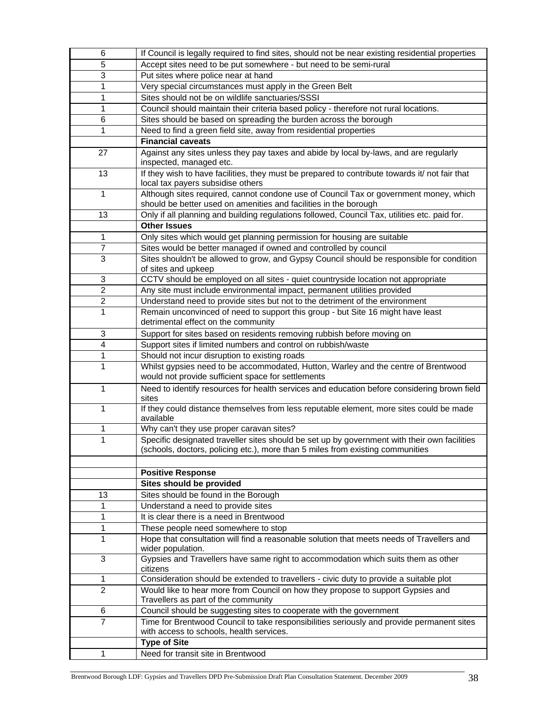| 6                       | If Council is legally required to find sites, should not be near existing residential properties                                                                               |
|-------------------------|--------------------------------------------------------------------------------------------------------------------------------------------------------------------------------|
| 5                       | Accept sites need to be put somewhere - but need to be semi-rural                                                                                                              |
| 3                       | Put sites where police near at hand                                                                                                                                            |
| 1                       | Very special circumstances must apply in the Green Belt                                                                                                                        |
| 1                       | Sites should not be on wildlife sanctuaries/SSSI                                                                                                                               |
| 1                       | Council should maintain their criteria based policy - therefore not rural locations.                                                                                           |
| 6                       | Sites should be based on spreading the burden across the borough                                                                                                               |
| 1                       | Need to find a green field site, away from residential properties                                                                                                              |
|                         | <b>Financial caveats</b>                                                                                                                                                       |
| 27                      | Against any sites unless they pay taxes and abide by local by-laws, and are regularly                                                                                          |
|                         | inspected, managed etc.                                                                                                                                                        |
| 13                      | If they wish to have facilities, they must be prepared to contribute towards it/ not fair that                                                                                 |
|                         | local tax payers subsidise others                                                                                                                                              |
| 1                       | Although sites required, cannot condone use of Council Tax or government money, which                                                                                          |
|                         | should be better used on amenities and facilities in the borough                                                                                                               |
| 13                      | Only if all planning and building regulations followed, Council Tax, utilities etc. paid for.                                                                                  |
|                         | <b>Other Issues</b>                                                                                                                                                            |
| 1                       | Only sites which would get planning permission for housing are suitable                                                                                                        |
| $\overline{7}$          | Sites would be better managed if owned and controlled by council                                                                                                               |
| 3                       | Sites shouldn't be allowed to grow, and Gypsy Council should be responsible for condition                                                                                      |
|                         | of sites and upkeep                                                                                                                                                            |
| 3                       | CCTV should be employed on all sites - quiet countryside location not appropriate                                                                                              |
| $\overline{c}$          | Any site must include environmental impact, permanent utilities provided                                                                                                       |
| $\overline{2}$          | Understand need to provide sites but not to the detriment of the environment                                                                                                   |
| 1                       | Remain unconvinced of need to support this group - but Site 16 might have least                                                                                                |
|                         | detrimental effect on the community                                                                                                                                            |
| 3                       | Support for sites based on residents removing rubbish before moving on                                                                                                         |
| $\overline{\mathbf{4}}$ | Support sites if limited numbers and control on rubbish/waste                                                                                                                  |
| 1                       | Should not incur disruption to existing roads                                                                                                                                  |
| 1                       | Whilst gypsies need to be accommodated, Hutton, Warley and the centre of Brentwood<br>would not provide sufficient space for settlements                                       |
| 1                       | Need to identify resources for health services and education before considering brown field<br>sites                                                                           |
| 1                       | If they could distance themselves from less reputable element, more sites could be made<br>available                                                                           |
| 1                       | Why can't they use proper caravan sites?                                                                                                                                       |
| 1                       | Specific designated traveller sites should be set up by government with their own facilities<br>(schools, doctors, policing etc.), more than 5 miles from existing communities |
|                         |                                                                                                                                                                                |
|                         | <b>Positive Response</b>                                                                                                                                                       |
|                         | Sites should be provided                                                                                                                                                       |
| 13                      | Sites should be found in the Borough                                                                                                                                           |
| 1                       | Understand a need to provide sites                                                                                                                                             |
| 1                       | It is clear there is a need in Brentwood                                                                                                                                       |
| 1                       | These people need somewhere to stop                                                                                                                                            |
| 1                       | Hope that consultation will find a reasonable solution that meets needs of Travellers and                                                                                      |
|                         | wider population.                                                                                                                                                              |
| 3                       | Gypsies and Travellers have same right to accommodation which suits them as other<br>citizens                                                                                  |
| 1                       | Consideration should be extended to travellers - civic duty to provide a suitable plot                                                                                         |
| $\overline{2}$          | Would like to hear more from Council on how they propose to support Gypsies and                                                                                                |
|                         | Travellers as part of the community                                                                                                                                            |
| 6                       | Council should be suggesting sites to cooperate with the government                                                                                                            |
| $\overline{7}$          | Time for Brentwood Council to take responsibilities seriously and provide permanent sites                                                                                      |
|                         | with access to schools, health services.                                                                                                                                       |
|                         | <b>Type of Site</b>                                                                                                                                                            |
| 1                       | Need for transit site in Brentwood                                                                                                                                             |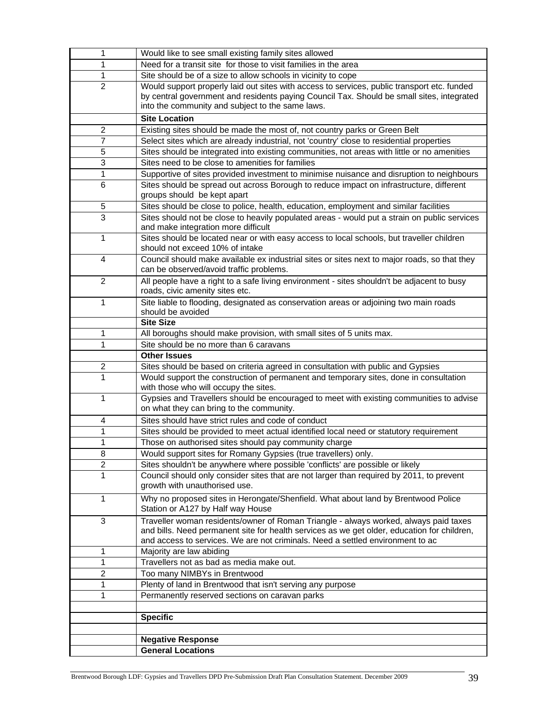| 1                       | Would like to see small existing family sites allowed                                                                               |
|-------------------------|-------------------------------------------------------------------------------------------------------------------------------------|
| 1                       | Need for a transit site for those to visit families in the area                                                                     |
| 1                       | Site should be of a size to allow schools in vicinity to cope                                                                       |
| $\overline{2}$          | Would support properly laid out sites with access to services, public transport etc. funded                                         |
|                         | by central government and residents paying Council Tax. Should be small sites, integrated                                           |
|                         | into the community and subject to the same laws.                                                                                    |
|                         | <b>Site Location</b>                                                                                                                |
| $\overline{c}$          | Existing sites should be made the most of, not country parks or Green Belt                                                          |
| $\overline{7}$          | Select sites which are already industrial, not 'country' close to residential properties                                            |
| 5                       | Sites should be integrated into existing communities, not areas with little or no amenities                                         |
| 3                       | Sites need to be close to amenities for families                                                                                    |
| 1                       | Supportive of sites provided investment to minimise nuisance and disruption to neighbours                                           |
| 6                       | Sites should be spread out across Borough to reduce impact on infrastructure, different                                             |
|                         | groups should be kept apart                                                                                                         |
| 5                       | Sites should be close to police, health, education, employment and similar facilities                                               |
| 3                       | Sites should not be close to heavily populated areas - would put a strain on public services<br>and make integration more difficult |
| 1                       | Sites should be located near or with easy access to local schools, but traveller children                                           |
|                         | should not exceed 10% of intake                                                                                                     |
| 4                       | Council should make available ex industrial sites or sites next to major roads, so that they                                        |
|                         | can be observed/avoid traffic problems.                                                                                             |
| $\overline{2}$          | All people have a right to a safe living environment - sites shouldn't be adjacent to busy                                          |
|                         | roads, civic amenity sites etc.                                                                                                     |
| 1                       | Site liable to flooding, designated as conservation areas or adjoining two main roads                                               |
|                         | should be avoided                                                                                                                   |
|                         | <b>Site Size</b>                                                                                                                    |
| 1<br>1                  | All boroughs should make provision, with small sites of 5 units max.<br>Site should be no more than 6 caravans                      |
|                         | <b>Other Issues</b>                                                                                                                 |
| $\overline{\mathbf{c}}$ | Sites should be based on criteria agreed in consultation with public and Gypsies                                                    |
| 1                       | Would support the construction of permanent and temporary sites, done in consultation                                               |
|                         | with those who will occupy the sites.                                                                                               |
| 1                       | Gypsies and Travellers should be encouraged to meet with existing communities to advise                                             |
|                         | on what they can bring to the community.                                                                                            |
| 4                       | Sites should have strict rules and code of conduct                                                                                  |
| 1                       | Sites should be provided to meet actual identified local need or statutory requirement                                              |
| 1                       | Those on authorised sites should pay community charge                                                                               |
| 8                       | Would support sites for Romany Gypsies (true travellers) only.                                                                      |
| $\overline{2}$          | Sites shouldn't be anywhere where possible 'conflicts' are possible or likely                                                       |
| 1                       | Council should only consider sites that are not larger than required by 2011, to prevent<br>growth with unauthorised use.           |
|                         |                                                                                                                                     |
| 1                       | Why no proposed sites in Herongate/Shenfield. What about land by Brentwood Police<br>Station or A127 by Half way House              |
| 3                       |                                                                                                                                     |
|                         |                                                                                                                                     |
|                         | Traveller woman residents/owner of Roman Triangle - always worked, always paid taxes                                                |
|                         | and bills. Need permanent site for health services as we get older, education for children,                                         |
| 1                       | and access to services. We are not criminals. Need a settled environment to ac<br>Majority are law abiding                          |
| 1                       | Travellers not as bad as media make out.                                                                                            |
| 2                       | Too many NIMBYs in Brentwood                                                                                                        |
| 1                       | Plenty of land in Brentwood that isn't serving any purpose                                                                          |
| 1                       | Permanently reserved sections on caravan parks                                                                                      |
|                         |                                                                                                                                     |
|                         | <b>Specific</b>                                                                                                                     |
|                         |                                                                                                                                     |
|                         | <b>Negative Response</b><br><b>General Locations</b>                                                                                |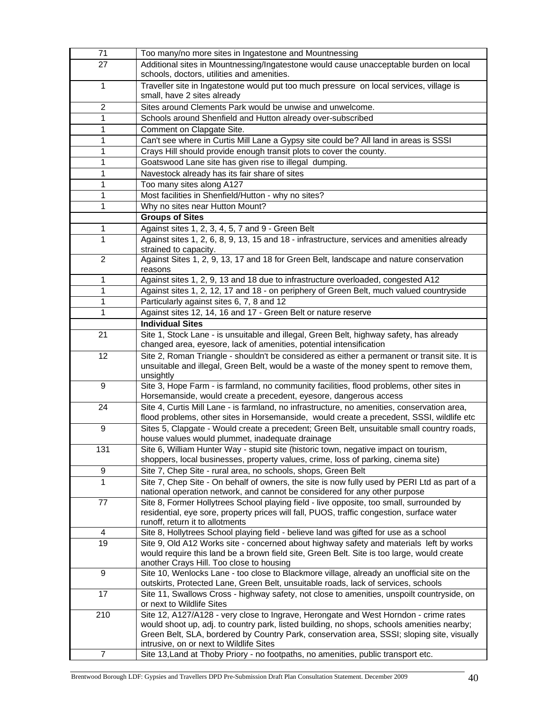| 71              | Too many/no more sites in Ingatestone and Mountnessing                                                                                                                                   |
|-----------------|------------------------------------------------------------------------------------------------------------------------------------------------------------------------------------------|
| 27              | Additional sites in Mountnessing/Ingatestone would cause unacceptable burden on local<br>schools, doctors, utilities and amenities.                                                      |
| 1               | Traveller site in Ingatestone would put too much pressure on local services, village is                                                                                                  |
|                 | small, have 2 sites already                                                                                                                                                              |
| $\overline{2}$  | Sites around Clements Park would be unwise and unwelcome.                                                                                                                                |
| 1               | Schools around Shenfield and Hutton already over-subscribed                                                                                                                              |
| 1               | Comment on Clapgate Site.                                                                                                                                                                |
| 1               | Can't see where in Curtis Mill Lane a Gypsy site could be? All land in areas is SSSI                                                                                                     |
| 1               | Crays Hill should provide enough transit plots to cover the county.                                                                                                                      |
| 1               | Goatswood Lane site has given rise to illegal dumping.                                                                                                                                   |
| 1               | Navestock already has its fair share of sites                                                                                                                                            |
| 1               | Too many sites along A127                                                                                                                                                                |
| 1               | Most facilities in Shenfield/Hutton - why no sites?                                                                                                                                      |
| 1               | Why no sites near Hutton Mount?                                                                                                                                                          |
|                 | <b>Groups of Sites</b>                                                                                                                                                                   |
| 1               | Against sites 1, 2, 3, 4, 5, 7 and 9 - Green Belt                                                                                                                                        |
| 1               | Against sites 1, 2, 6, 8, 9, 13, 15 and 18 - infrastructure, services and amenities already                                                                                              |
|                 | strained to capacity.                                                                                                                                                                    |
| $\overline{2}$  | Against Sites 1, 2, 9, 13, 17 and 18 for Green Belt, landscape and nature conservation                                                                                                   |
| 1               | reasons<br>Against sites 1, 2, 9, 13 and 18 due to infrastructure overloaded, congested A12                                                                                              |
| 1               | Against sites 1, 2, 12, 17 and 18 - on periphery of Green Belt, much valued countryside                                                                                                  |
| 1               | Particularly against sites 6, 7, 8 and 12                                                                                                                                                |
| 1               |                                                                                                                                                                                          |
|                 | Against sites 12, 14, 16 and 17 - Green Belt or nature reserve<br><b>Individual Sites</b>                                                                                                |
| 21              | Site 1, Stock Lane - is unsuitable and illegal, Green Belt, highway safety, has already                                                                                                  |
|                 | changed area, eyesore, lack of amenities, potential intensification                                                                                                                      |
| 12              | Site 2, Roman Triangle - shouldn't be considered as either a permanent or transit site. It is                                                                                            |
|                 | unsuitable and illegal, Green Belt, would be a waste of the money spent to remove them,                                                                                                  |
|                 | unsightly                                                                                                                                                                                |
| 9               | Site 3, Hope Farm - is farmland, no community facilities, flood problems, other sites in                                                                                                 |
|                 | Horsemanside, would create a precedent, eyesore, dangerous access                                                                                                                        |
| 24              | Site 4, Curtis Mill Lane - is farmland, no infrastructure, no amenities, conservation area,<br>flood problems, other sites in Horsemanside, would create a precedent, SSSI, wildlife etc |
| 9               | Sites 5, Clapgate - Would create a precedent; Green Belt, unsuitable small country roads,                                                                                                |
|                 | house values would plummet, inadequate drainage                                                                                                                                          |
| 131             | Site 6, William Hunter Way - stupid site (historic town, negative impact on tourism,                                                                                                     |
|                 | shoppers, local businesses, property values, crime, loss of parking, cinema site)                                                                                                        |
| 9               | Site 7, Chep Site - rural area, no schools, shops, Green Belt                                                                                                                            |
| 1               | Site 7, Chep Site - On behalf of owners, the site is now fully used by PERI Ltd as part of a                                                                                             |
|                 | national operation network, and cannot be considered for any other purpose                                                                                                               |
| 77              | Site 8, Former Hollytrees School playing field - live opposite, too small, surrounded by                                                                                                 |
|                 | residential, eye sore, property prices will fall, PUOS, traffic congestion, surface water                                                                                                |
|                 | runoff, return it to allotments                                                                                                                                                          |
| 4               | Site 8, Hollytrees School playing field - believe land was gifted for use as a school                                                                                                    |
| $\overline{19}$ | Site 9, Old A12 Works site - concerned about highway safety and materials left by works                                                                                                  |
|                 | would require this land be a brown field site, Green Belt. Site is too large, would create                                                                                               |
| 9               | another Crays Hill. Too close to housing<br>Site 10, Wenlocks Lane - too close to Blackmore village, already an unofficial site on the                                                   |
|                 | outskirts, Protected Lane, Green Belt, unsuitable roads, lack of services, schools                                                                                                       |
| 17              | Site 11, Swallows Cross - highway safety, not close to amenities, unspoilt countryside, on                                                                                               |
|                 | or next to Wildlife Sites                                                                                                                                                                |
| 210             | Site 12, A127/A128 - very close to Ingrave, Herongate and West Horndon - crime rates                                                                                                     |
|                 | would shoot up, adj. to country park, listed building, no shops, schools amenities nearby;                                                                                               |
|                 | Green Belt, SLA, bordered by Country Park, conservation area, SSSI; sloping site, visually                                                                                               |
|                 | intrusive, on or next to Wildlife Sites                                                                                                                                                  |
| $\overline{7}$  | Site 13, Land at Thoby Priory - no footpaths, no amenities, public transport etc.                                                                                                        |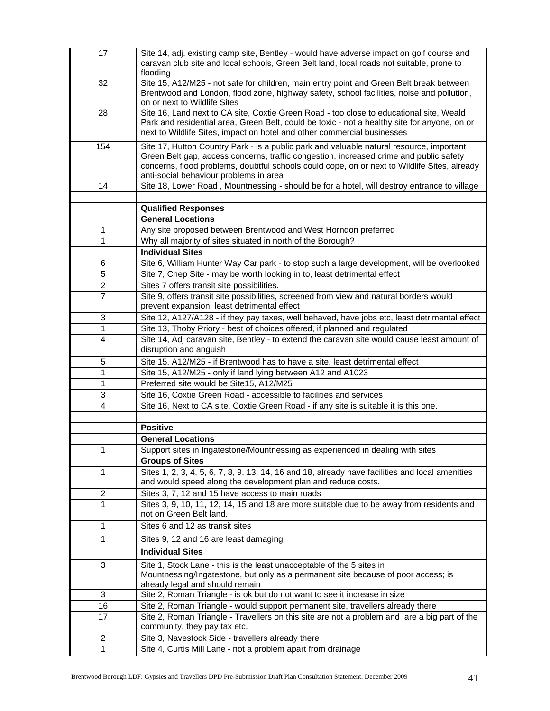| 17             | Site 14, adj. existing camp site, Bentley - would have adverse impact on golf course and<br>caravan club site and local schools, Green Belt land, local roads not suitable, prone to<br>flooding                                                                                                                             |
|----------------|------------------------------------------------------------------------------------------------------------------------------------------------------------------------------------------------------------------------------------------------------------------------------------------------------------------------------|
| 32             | Site 15, A12/M25 - not safe for children, main entry point and Green Belt break between<br>Brentwood and London, flood zone, highway safety, school facilities, noise and pollution,<br>on or next to Wildlife Sites                                                                                                         |
| 28             | Site 16, Land next to CA site, Coxtie Green Road - too close to educational site, Weald<br>Park and residential area, Green Belt, could be toxic - not a healthy site for anyone, on or<br>next to Wildlife Sites, impact on hotel and other commercial businesses                                                           |
| 154            | Site 17, Hutton Country Park - is a public park and valuable natural resource, important<br>Green Belt gap, access concerns, traffic congestion, increased crime and public safety<br>concerns, flood problems, doubtful schools could cope, on or next to Wildlife Sites, already<br>anti-social behaviour problems in area |
| 14             | Site 18, Lower Road, Mountnessing - should be for a hotel, will destroy entrance to village                                                                                                                                                                                                                                  |
|                | <b>Qualified Responses</b>                                                                                                                                                                                                                                                                                                   |
|                | <b>General Locations</b>                                                                                                                                                                                                                                                                                                     |
| 1              | Any site proposed between Brentwood and West Horndon preferred                                                                                                                                                                                                                                                               |
| 1              | Why all majority of sites situated in north of the Borough?                                                                                                                                                                                                                                                                  |
|                | <b>Individual Sites</b>                                                                                                                                                                                                                                                                                                      |
| 6              | Site 6, William Hunter Way Car park - to stop such a large development, will be overlooked                                                                                                                                                                                                                                   |
| 5              | Site 7, Chep Site - may be worth looking in to, least detrimental effect                                                                                                                                                                                                                                                     |
| 2              | Sites 7 offers transit site possibilities.                                                                                                                                                                                                                                                                                   |
| $\overline{7}$ | Site 9, offers transit site possibilities, screened from view and natural borders would<br>prevent expansion, least detrimental effect                                                                                                                                                                                       |
| 3              | Site 12, A127/A128 - if they pay taxes, well behaved, have jobs etc, least detrimental effect                                                                                                                                                                                                                                |
| 1              | Site 13, Thoby Priory - best of choices offered, if planned and regulated                                                                                                                                                                                                                                                    |
| 4              | Site 14, Adj caravan site, Bentley - to extend the caravan site would cause least amount of<br>disruption and anguish                                                                                                                                                                                                        |
| 5              | Site 15, A12/M25 - if Brentwood has to have a site, least detrimental effect                                                                                                                                                                                                                                                 |
| 1              | Site 15, A12/M25 - only if land lying between A12 and A1023                                                                                                                                                                                                                                                                  |
| 1              | Preferred site would be Site15, A12/M25                                                                                                                                                                                                                                                                                      |
| 3              | Site 16, Coxtie Green Road - accessible to facilities and services                                                                                                                                                                                                                                                           |
| 4              | Site 16, Next to CA site, Coxtie Green Road - if any site is suitable it is this one.                                                                                                                                                                                                                                        |
|                | <b>Positive</b>                                                                                                                                                                                                                                                                                                              |
|                | <b>General Locations</b>                                                                                                                                                                                                                                                                                                     |
|                | Support sites in Ingatestone/Mountnessing as experienced in dealing with sites                                                                                                                                                                                                                                               |
|                | <b>Groups of Sites</b>                                                                                                                                                                                                                                                                                                       |
| 1              | Sites 1, 2, 3, 4, 5, 6, 7, 8, 9, 13, 14, 16 and 18, already have facilities and local amenities<br>and would speed along the development plan and reduce costs.                                                                                                                                                              |
| $\overline{c}$ | Sites 3, 7, 12 and 15 have access to main roads                                                                                                                                                                                                                                                                              |
| 1              | Sites 3, 9, 10, 11, 12, 14, 15 and 18 are more suitable due to be away from residents and<br>not on Green Belt land.                                                                                                                                                                                                         |
| 1              | Sites 6 and 12 as transit sites                                                                                                                                                                                                                                                                                              |
| 1              | Sites 9, 12 and 16 are least damaging                                                                                                                                                                                                                                                                                        |
|                | <b>Individual Sites</b>                                                                                                                                                                                                                                                                                                      |
| $\sqrt{3}$     | Site 1, Stock Lane - this is the least unacceptable of the 5 sites in<br>Mountnessing/Ingatestone, but only as a permanent site because of poor access; is<br>already legal and should remain                                                                                                                                |
| 3              | Site 2, Roman Triangle - is ok but do not want to see it increase in size                                                                                                                                                                                                                                                    |
| 16             | Site 2, Roman Triangle - would support permanent site, travellers already there                                                                                                                                                                                                                                              |
| 17             | Site 2, Roman Triangle - Travellers on this site are not a problem and are a big part of the<br>community, they pay tax etc.                                                                                                                                                                                                 |
| $\overline{c}$ | Site 3, Navestock Side - travellers already there                                                                                                                                                                                                                                                                            |
| 1              | Site 4, Curtis Mill Lane - not a problem apart from drainage                                                                                                                                                                                                                                                                 |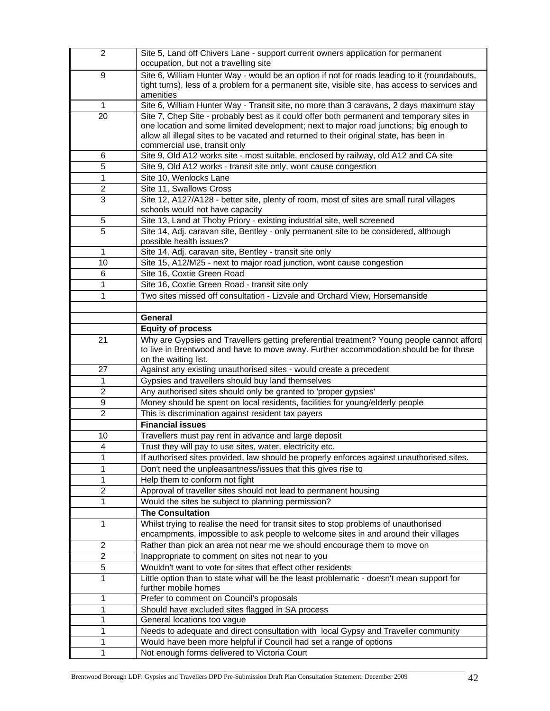| $\overline{2}$               | Site 5, Land off Chivers Lane - support current owners application for permanent<br>occupation, but not a travelling site                                                                      |
|------------------------------|------------------------------------------------------------------------------------------------------------------------------------------------------------------------------------------------|
| 9                            | Site 6, William Hunter Way - would be an option if not for roads leading to it (roundabouts,<br>tight turns), less of a problem for a permanent site, visible site, has access to services and |
| $\mathbf{1}$                 | amenities                                                                                                                                                                                      |
| 20                           | Site 6, William Hunter Way - Transit site, no more than 3 caravans, 2 days maximum stay<br>Site 7, Chep Site - probably best as it could offer both permanent and temporary sites in           |
|                              | one location and some limited development; next to major road junctions; big enough to                                                                                                         |
|                              | allow all illegal sites to be vacated and returned to their original state, has been in                                                                                                        |
|                              | commercial use, transit only                                                                                                                                                                   |
| 6                            | Site 9, Old A12 works site - most suitable, enclosed by railway, old A12 and CA site                                                                                                           |
| 5                            | Site 9, Old A12 works - transit site only, wont cause congestion                                                                                                                               |
| 1                            | Site 10, Wenlocks Lane                                                                                                                                                                         |
| $\overline{c}$               | Site 11, Swallows Cross                                                                                                                                                                        |
| 3                            | Site 12, A127/A128 - better site, plenty of room, most of sites are small rural villages                                                                                                       |
|                              | schools would not have capacity<br>Site 13, Land at Thoby Priory - existing industrial site, well screened                                                                                     |
| 5<br>5                       | Site 14, Adj. caravan site, Bentley - only permanent site to be considered, although                                                                                                           |
|                              | possible health issues?                                                                                                                                                                        |
| 1                            | Site 14, Adj. caravan site, Bentley - transit site only                                                                                                                                        |
| 10                           | Site 15, A12/M25 - next to major road junction, wont cause congestion                                                                                                                          |
| 6                            | Site 16, Coxtie Green Road                                                                                                                                                                     |
| 1                            | Site 16, Coxtie Green Road - transit site only                                                                                                                                                 |
| 1                            | Two sites missed off consultation - Lizvale and Orchard View, Horsemanside                                                                                                                     |
|                              |                                                                                                                                                                                                |
|                              | General                                                                                                                                                                                        |
|                              | <b>Equity of process</b>                                                                                                                                                                       |
| 21                           | Why are Gypsies and Travellers getting preferential treatment? Young people cannot afford<br>to live in Brentwood and have to move away. Further accommodation should be for those             |
|                              | on the waiting list.                                                                                                                                                                           |
| 27                           | Against any existing unauthorised sites - would create a precedent                                                                                                                             |
| 1                            | Gypsies and travellers should buy land themselves                                                                                                                                              |
| $\overline{2}$               | Any authorised sites should only be granted to 'proper gypsies'                                                                                                                                |
| 9                            | Money should be spent on local residents, facilities for young/elderly people                                                                                                                  |
| $\overline{c}$               | This is discrimination against resident tax payers                                                                                                                                             |
|                              | <b>Financial issues</b>                                                                                                                                                                        |
| 10                           | Travellers must pay rent in advance and large deposit                                                                                                                                          |
| $\overline{4}$               | Trust they will pay to use sites, water, electricity etc.                                                                                                                                      |
| 1                            | If authorised sites provided, law should be properly enforces against unauthorised sites.                                                                                                      |
| 1                            | Don't need the unpleasantness/issues that this gives rise to<br>Help them to conform not fight                                                                                                 |
| 1<br>$\overline{\mathbf{c}}$ | Approval of traveller sites should not lead to permanent housing                                                                                                                               |
| 1                            | Would the sites be subject to planning permission?                                                                                                                                             |
|                              | <b>The Consultation</b>                                                                                                                                                                        |
| 1                            | Whilst trying to realise the need for transit sites to stop problems of unauthorised                                                                                                           |
|                              | encampments, impossible to ask people to welcome sites in and around their villages                                                                                                            |
| $\overline{c}$               | Rather than pick an area not near me we should encourage them to move on                                                                                                                       |
| $\overline{c}$               | Inappropriate to comment on sites not near to you                                                                                                                                              |
| 5                            | Wouldn't want to vote for sites that effect other residents                                                                                                                                    |
| 1                            | Little option than to state what will be the least problematic - doesn't mean support for                                                                                                      |
|                              | further mobile homes                                                                                                                                                                           |
| 1<br>1                       | Prefer to comment on Council's proposals<br>Should have excluded sites flagged in SA process                                                                                                   |
| 1                            | General locations too vague                                                                                                                                                                    |
| 1                            | Needs to adequate and direct consultation with local Gypsy and Traveller community                                                                                                             |
| 1                            | Would have been more helpful if Council had set a range of options                                                                                                                             |
| 1                            | Not enough forms delivered to Victoria Court                                                                                                                                                   |
|                              |                                                                                                                                                                                                |